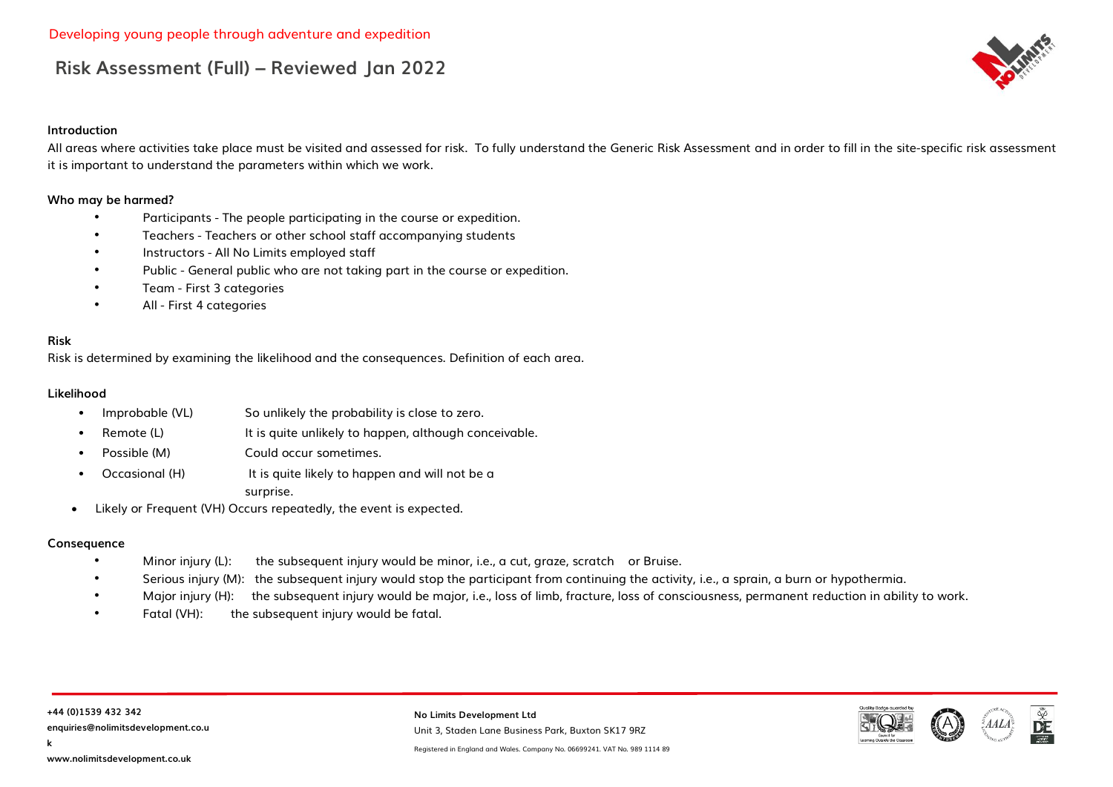#### **Introduction**

All areas where activities take place must be visited and assessed for risk. To fully understand the Generic Risk Assessment and in order to fill in the site-specific risk assessment it is important to understand the parameters within which we work.

#### **Who may be harmed?**

- Participants The people participating in the course or expedition.
- Teachers Teachers or other school staff accompanying students
- Instructors All No Limits employed staff
- Public General public who are not taking part in the course or expedition.
- Team First 3 categories
- All First 4 categories

#### **Risk**

Risk is determined by examining the likelihood and the consequences. Definition of each area.

#### **Likelihood**

- Improbable (VL) So unlikely the probability is close to zero.
- Remote (L) **It is quite unlikely to happen, although conceivable.**
- Possible (M) Could occur sometimes.
- Occasional (H) It is quite likely to happen and will not be a surprise.
- Likely or Frequent (VH) Occurs repeatedly, the event is expected.

#### **Consequence**

- Minor injury (L): the subsequent injury would be minor, i.e., a cut, graze, scratch or Bruise.
- Serious injury (M): the subsequent injury would stop the participant from continuing the activity, i.e., a sprain, a burn or hypothermia.
- Major injury (H): the subsequent injury would be major, i.e., loss of limb, fracture, loss of consciousness, permanent reduction in ability to work.
- Fatal (VH): the subsequent injury would be fatal.

**No Limits Development Ltd** Unit 3, Staden Lane Business Park, Buxton SK17 9RZ

Registered in England and Wales. Company No. 06699241. VAT No. 989 1114 89



**k**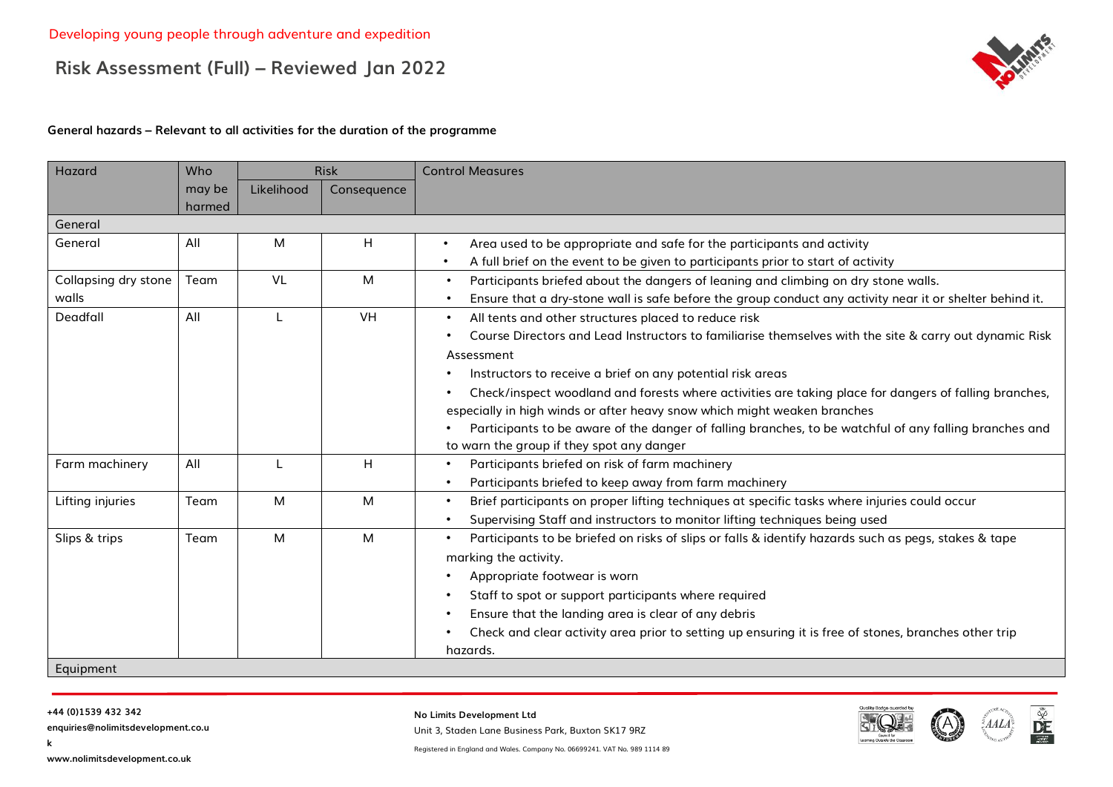

#### **General hazards – Relevant to all activities for the duration of the programme**

| Hazard               | Who              |            | <b>Risk</b> | <b>Control Measures</b>                                                                                               |
|----------------------|------------------|------------|-------------|-----------------------------------------------------------------------------------------------------------------------|
|                      | may be<br>harmed | Likelihood | Consequence |                                                                                                                       |
| General              |                  |            |             |                                                                                                                       |
| General              | All              | M          | н           | Area used to be appropriate and safe for the participants and activity<br>$\bullet$                                   |
|                      |                  |            |             | A full brief on the event to be given to participants prior to start of activity<br>$\bullet$                         |
| Collapsing dry stone | Team             | <b>VL</b>  | M           | Participants briefed about the dangers of leaning and climbing on dry stone walls.<br>$\bullet$                       |
| walls                |                  |            |             | Ensure that a dry-stone wall is safe before the group conduct any activity near it or shelter behind it.<br>$\bullet$ |
| Deadfall             | All              |            | VH          | All tents and other structures placed to reduce risk<br>$\bullet$                                                     |
|                      |                  |            |             | Course Directors and Lead Instructors to familiarise themselves with the site & carry out dynamic Risk<br>$\bullet$   |
|                      |                  |            |             | Assessment                                                                                                            |
|                      |                  |            |             | Instructors to receive a brief on any potential risk areas                                                            |
|                      |                  |            |             | Check/inspect woodland and forests where activities are taking place for dangers of falling branches,<br>$\bullet$    |
|                      |                  |            |             | especially in high winds or after heavy snow which might weaken branches                                              |
|                      |                  |            |             | Participants to be aware of the danger of falling branches, to be watchful of any falling branches and                |
|                      |                  |            |             | to warn the group if they spot any danger                                                                             |
| Farm machinery       | All              |            | H           | Participants briefed on risk of farm machinery<br>$\bullet$                                                           |
|                      |                  |            |             | Participants briefed to keep away from farm machinery<br>$\bullet$                                                    |
| Lifting injuries     | Team             | M          | M           | Brief participants on proper lifting techniques at specific tasks where injuries could occur<br>$\bullet$             |
|                      |                  |            |             | Supervising Staff and instructors to monitor lifting techniques being used<br>$\bullet$                               |
| Slips & trips        | Team             | M          | M           | Participants to be briefed on risks of slips or falls & identify hazards such as pegs, stakes & tape<br>$\bullet$     |
|                      |                  |            |             | marking the activity.                                                                                                 |
|                      |                  |            |             | Appropriate footwear is worn<br>$\bullet$                                                                             |
|                      |                  |            |             | Staff to spot or support participants where required<br>$\bullet$                                                     |
|                      |                  |            |             | Ensure that the landing area is clear of any debris<br>$\bullet$                                                      |
|                      |                  |            |             | Check and clear activity area prior to setting up ensuring it is free of stones, branches other trip<br>$\bullet$     |
|                      |                  |            |             | hazards.                                                                                                              |
| Equipment            |                  |            |             |                                                                                                                       |

**k**

**enquiries@nolimitsdevelopment.co.u**

**No Limits Development Ltd**

Unit 3, Staden Lane Business Park, Buxton SK17 9RZ



 $\mathbb{\tilde{R}}$ 

**www.nolimitsdevelopment.co.uk**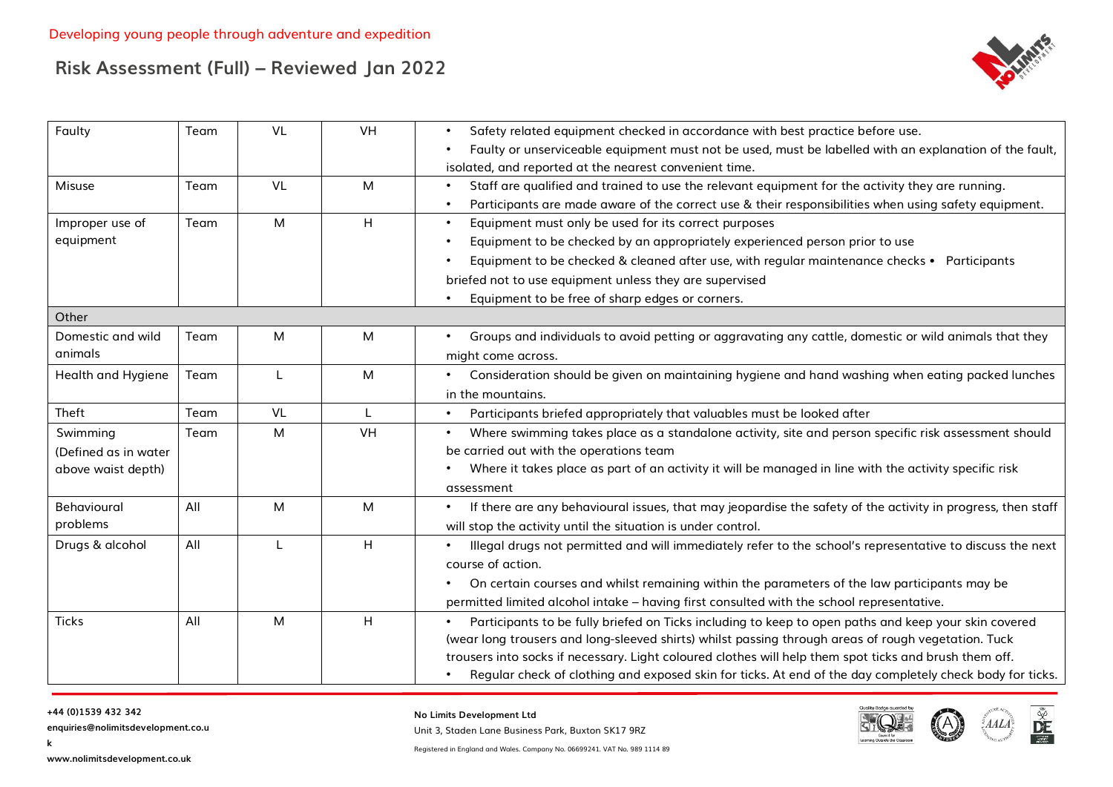

| Faulty               | Team | VL | VH           | Safety related equipment checked in accordance with best practice before use.<br>$\bullet$                               |
|----------------------|------|----|--------------|--------------------------------------------------------------------------------------------------------------------------|
|                      |      |    |              | Faulty or unserviceable equipment must not be used, must be labelled with an explanation of the fault,                   |
|                      |      |    |              | isolated, and reported at the nearest convenient time.                                                                   |
| Misuse               | Team | VL | M            | Staff are qualified and trained to use the relevant equipment for the activity they are running.<br>$\bullet$            |
|                      |      |    |              | Participants are made aware of the correct use & their responsibilities when using safety equipment.<br>$\bullet$        |
| Improper use of      | Team | M  | H            | Equipment must only be used for its correct purposes<br>$\bullet$                                                        |
| equipment            |      |    |              | Equipment to be checked by an appropriately experienced person prior to use<br>$\bullet$                                 |
|                      |      |    |              | Equipment to be checked & cleaned after use, with regular maintenance checks • Participants<br>$\bullet$                 |
|                      |      |    |              | briefed not to use equipment unless they are supervised                                                                  |
|                      |      |    |              | Equipment to be free of sharp edges or corners.                                                                          |
| Other                |      |    |              |                                                                                                                          |
| Domestic and wild    | Team | M  | M            | Groups and individuals to avoid petting or aggravating any cattle, domestic or wild animals that they<br>$\bullet$       |
| animals              |      |    |              | might come across.                                                                                                       |
| Health and Hygiene   | Team |    | M            | Consideration should be given on maintaining hygiene and hand washing when eating packed lunches                         |
|                      |      |    |              | in the mountains.                                                                                                        |
| Theft                | Team | VL | $\mathbf{I}$ | Participants briefed appropriately that valuables must be looked after<br>$\bullet$                                      |
| Swimming             | Team | M  | VH           | Where swimming takes place as a standalone activity, site and person specific risk assessment should                     |
| (Defined as in water |      |    |              | be carried out with the operations team                                                                                  |
| above waist depth)   |      |    |              | Where it takes place as part of an activity it will be managed in line with the activity specific risk                   |
|                      |      |    |              | assessment                                                                                                               |
| Behavioural          | All  | M  | M            | If there are any behavioural issues, that may jeopardise the safety of the activity in progress, then staff<br>$\bullet$ |
| problems             |      |    |              | will stop the activity until the situation is under control.                                                             |
| Drugs & alcohol      | All  |    | H            | Illegal drugs not permitted and will immediately refer to the school's representative to discuss the next<br>$\bullet$   |
|                      |      |    |              | course of action.                                                                                                        |
|                      |      |    |              | On certain courses and whilst remaining within the parameters of the law participants may be                             |
|                      |      |    |              | permitted limited alcohol intake - having first consulted with the school representative.                                |
| <b>Ticks</b>         | All  | M  | H            | Participants to be fully briefed on Ticks including to keep to open paths and keep your skin covered                     |
|                      |      |    |              | (wear long trousers and long-sleeved shirts) whilst passing through areas of rough vegetation. Tuck                      |
|                      |      |    |              | trousers into socks if necessary. Light coloured clothes will help them spot ticks and brush them off.                   |
|                      |      |    |              | Regular check of clothing and exposed skin for ticks. At end of the day completely check body for ticks.                 |

#### **+44 (0)1539 432 342**

**k**

**enquiries@nolimitsdevelopment.co.u**

**No Limits Development Ltd**

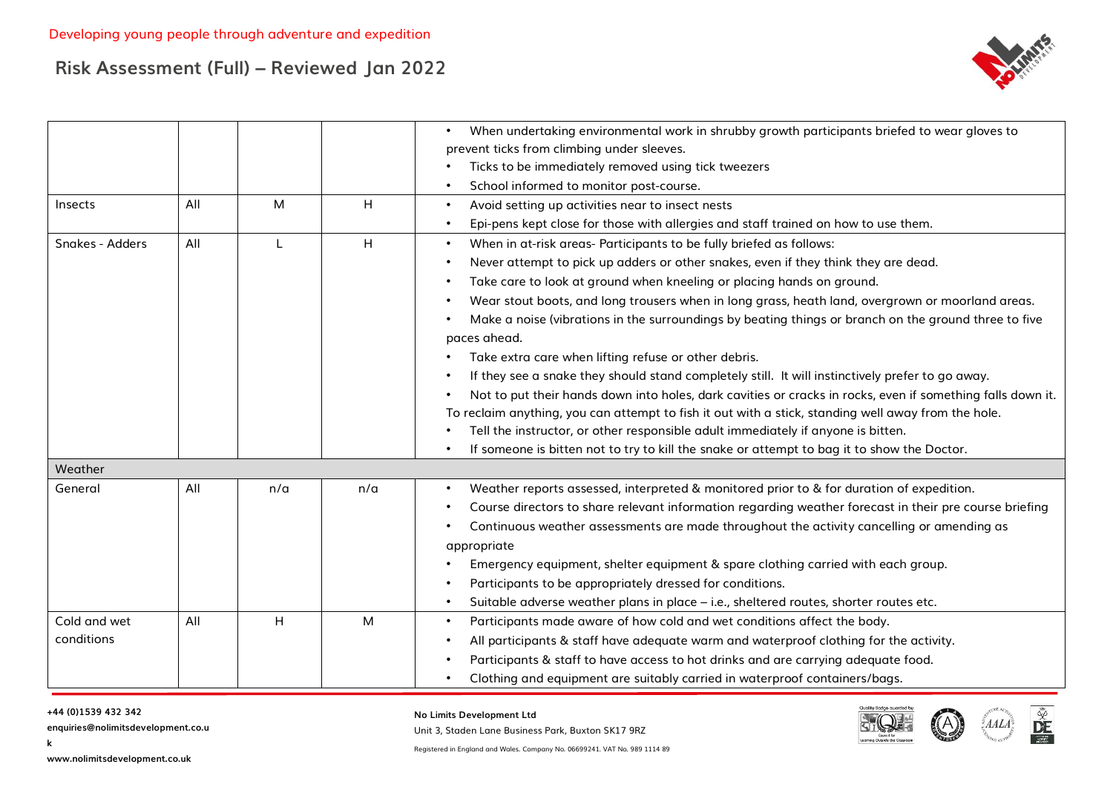

|                 |     |              |     | When undertaking environmental work in shrubby growth participants briefed to wear gloves to                                                                                                                                   |
|-----------------|-----|--------------|-----|--------------------------------------------------------------------------------------------------------------------------------------------------------------------------------------------------------------------------------|
|                 |     |              |     | prevent ticks from climbing under sleeves.                                                                                                                                                                                     |
|                 |     |              |     | Ticks to be immediately removed using tick tweezers                                                                                                                                                                            |
|                 |     |              |     | School informed to monitor post-course.<br>$\bullet$                                                                                                                                                                           |
| Insects         | All | M            | H   | Avoid setting up activities near to insect nests<br>$\bullet$                                                                                                                                                                  |
|                 |     |              |     | Epi-pens kept close for those with allergies and staff trained on how to use them.<br>$\bullet$                                                                                                                                |
| Snakes - Adders | All | $\mathbf{I}$ | H   | When in at-risk areas- Participants to be fully briefed as follows:<br>$\bullet$                                                                                                                                               |
|                 |     |              |     | Never attempt to pick up adders or other snakes, even if they think they are dead.<br>$\bullet$                                                                                                                                |
|                 |     |              |     | Take care to look at ground when kneeling or placing hands on ground.<br>$\bullet$                                                                                                                                             |
|                 |     |              |     | Wear stout boots, and long trousers when in long grass, heath land, overgrown or moorland areas.<br>$\bullet$                                                                                                                  |
|                 |     |              |     | Make a noise (vibrations in the surroundings by beating things or branch on the ground three to five<br>$\bullet$<br>paces ahead.                                                                                              |
|                 |     |              |     | Take extra care when lifting refuse or other debris.                                                                                                                                                                           |
|                 |     |              |     | If they see a snake they should stand completely still. It will instinctively prefer to go away.<br>$\bullet$                                                                                                                  |
|                 |     |              |     |                                                                                                                                                                                                                                |
|                 |     |              |     | Not to put their hands down into holes, dark cavities or cracks in rocks, even if something falls down it.<br>$\bullet$<br>To reclaim anything, you can attempt to fish it out with a stick, standing well away from the hole. |
|                 |     |              |     | Tell the instructor, or other responsible adult immediately if anyone is bitten.                                                                                                                                               |
|                 |     |              |     | If someone is bitten not to try to kill the snake or attempt to bag it to show the Doctor.                                                                                                                                     |
|                 |     |              |     |                                                                                                                                                                                                                                |
| Weather         |     |              |     |                                                                                                                                                                                                                                |
| General         | All | n/a          | n/a | Weather reports assessed, interpreted & monitored prior to & for duration of expedition.<br>$\bullet$                                                                                                                          |
|                 |     |              |     | Course directors to share relevant information regarding weather forecast in their pre course briefing                                                                                                                         |
|                 |     |              |     | Continuous weather assessments are made throughout the activity cancelling or amending as                                                                                                                                      |
|                 |     |              |     | appropriate                                                                                                                                                                                                                    |
|                 |     |              |     | Emergency equipment, shelter equipment & spare clothing carried with each group.                                                                                                                                               |
|                 |     |              |     | Participants to be appropriately dressed for conditions.                                                                                                                                                                       |
|                 |     |              |     | Suitable adverse weather plans in place - i.e., sheltered routes, shorter routes etc.<br>$\bullet$                                                                                                                             |
| Cold and wet    | All | H            | M   | Participants made aware of how cold and wet conditions affect the body.<br>$\bullet$                                                                                                                                           |
| conditions      |     |              |     | All participants & staff have adequate warm and waterproof clothing for the activity.<br>$\bullet$                                                                                                                             |
|                 |     |              |     | Participants & staff to have access to hot drinks and are carrying adequate food.                                                                                                                                              |
|                 |     |              |     | Clothing and equipment are suitably carried in waterproof containers/bags.                                                                                                                                                     |

#### **+44 (0)1539 432 342**

**k**

**enquiries@nolimitsdevelopment.co.u**

**No Limits Development Ltd**

Unit 3, Staden Lane Business Park, Buxton SK17 9RZ

Registered in England and Wales. Company No. 06699241. VAT No. 989 1114 89



 $\frac{\tilde{\mathbb{X}}}{\tilde{\mathbf{D}}\tilde{\mathbf{E}}}$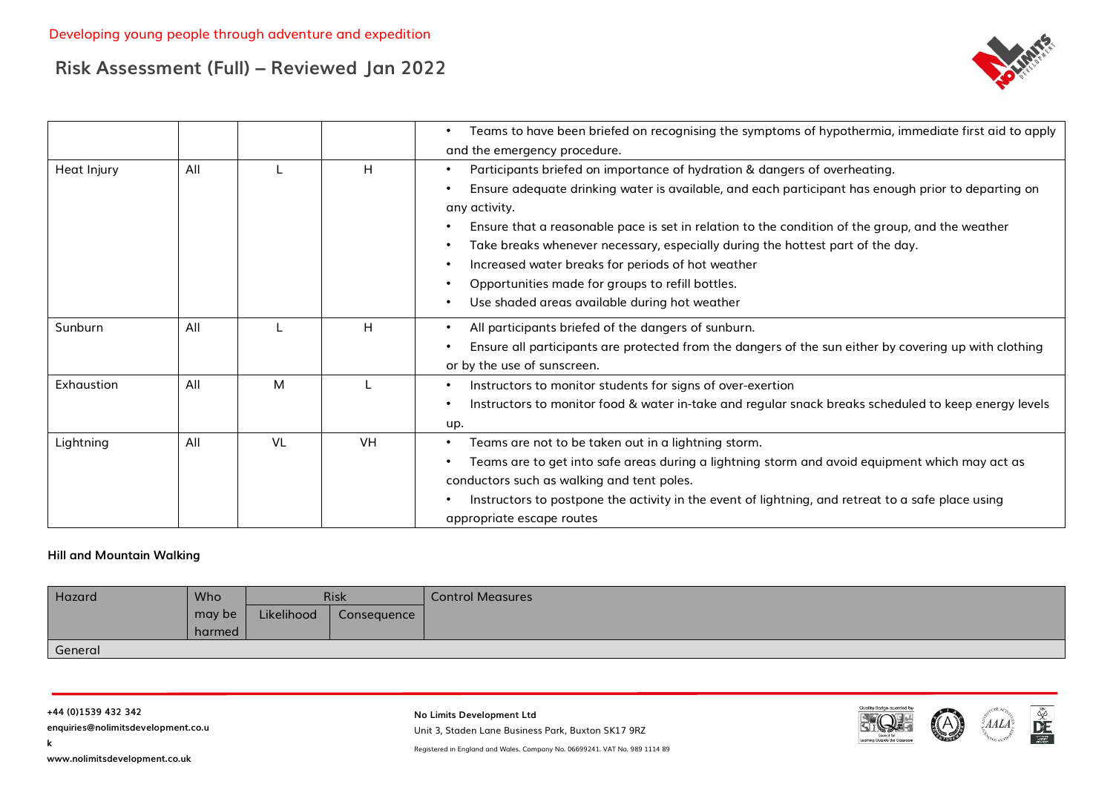

|             |     |    |           | Teams to have been briefed on recognising the symptoms of hypothermia, immediate first aid to apply<br>$\bullet$   |
|-------------|-----|----|-----------|--------------------------------------------------------------------------------------------------------------------|
|             |     |    |           | and the emergency procedure.                                                                                       |
| Heat Injury | All |    | Н         | Participants briefed on importance of hydration & dangers of overheating.<br>$\bullet$                             |
|             |     |    |           | Ensure adequate drinking water is available, and each participant has enough prior to departing on<br>$\bullet$    |
|             |     |    |           | any activity.                                                                                                      |
|             |     |    |           | Ensure that a reasonable pace is set in relation to the condition of the group, and the weather<br>$\bullet$       |
|             |     |    |           | Take breaks whenever necessary, especially during the hottest part of the day.<br>$\bullet$                        |
|             |     |    |           | Increased water breaks for periods of hot weather<br>$\bullet$                                                     |
|             |     |    |           | Opportunities made for groups to refill bottles.<br>$\bullet$                                                      |
|             |     |    |           | Use shaded areas available during hot weather<br>$\bullet$                                                         |
| Sunburn     | All |    | H         | All participants briefed of the dangers of sunburn.<br>$\bullet$                                                   |
|             |     |    |           | Ensure all participants are protected from the dangers of the sun either by covering up with clothing<br>$\bullet$ |
|             |     |    |           | or by the use of sunscreen.                                                                                        |
| Exhaustion  | All | м  |           | Instructors to monitor students for signs of over-exertion<br>$\bullet$                                            |
|             |     |    |           | Instructors to monitor food & water in-take and regular snack breaks scheduled to keep energy levels<br>$\bullet$  |
|             |     |    |           | up.                                                                                                                |
| Lightning   | All | VL | <b>VH</b> | Teams are not to be taken out in a lightning storm.<br>٠                                                           |
|             |     |    |           | Teams are to get into safe areas during a lightning storm and avoid equipment which may act as                     |
|             |     |    |           | conductors such as walking and tent poles.                                                                         |
|             |     |    |           | Instructors to postpone the activity in the event of lightning, and retreat to a safe place using                  |
|             |     |    |           | appropriate escape routes                                                                                          |

#### **Hill and Mountain Walking**

| Hazard  | <b>Who</b> |            | <b>Risk</b> | <b>Control Measures</b> |
|---------|------------|------------|-------------|-------------------------|
|         | may be     | Likelihood | Consequence |                         |
|         | harmed     |            |             |                         |
| General |            |            |             |                         |

**k**

**No Limits Development Ltd** Unit 3, Staden Lane Business Park, Buxton SK17 9RZ



 $\frac{\tilde{\mathbf{w}}}{\mathbf{D}E}$ 

Registered in England and Wales. Company No. 06699241. VAT No. 989 1114 89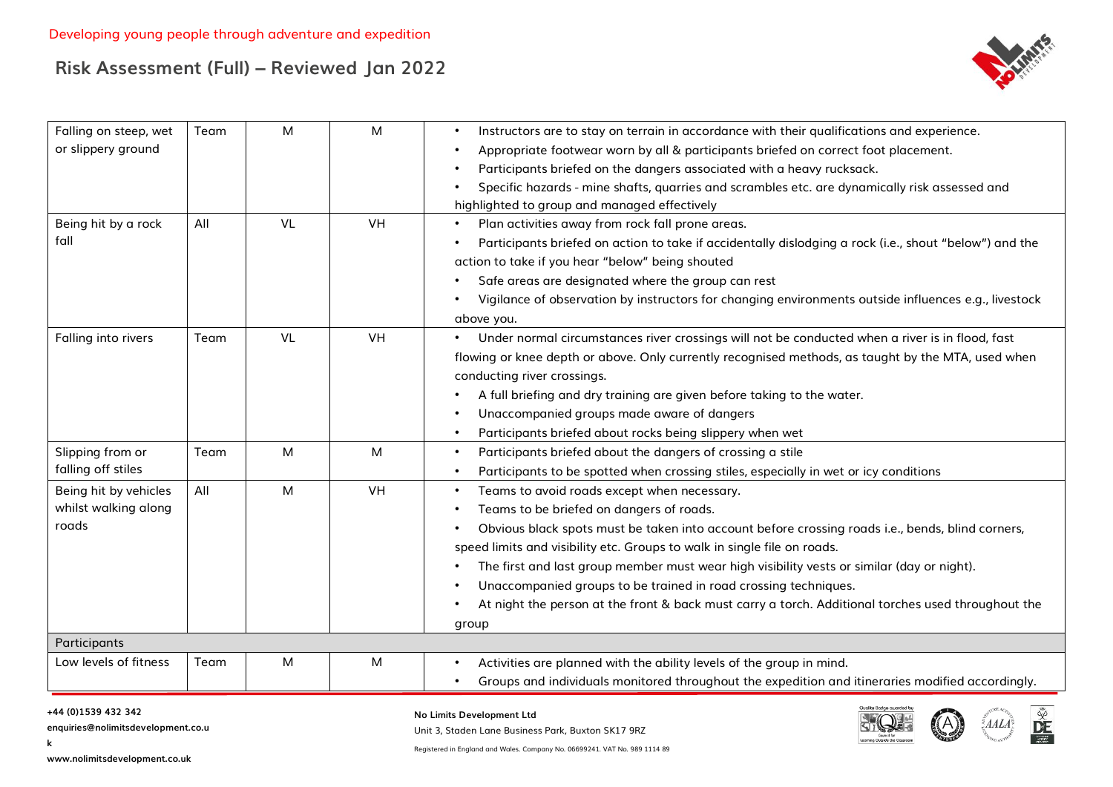

| Falling on steep, wet<br>or slippery ground            | Team | M         | М         | Instructors are to stay on terrain in accordance with their qualifications and experience.<br>Appropriate footwear worn by all & participants briefed on correct foot placement.<br>Participants briefed on the dangers associated with a heavy rucksack.<br>Specific hazards - mine shafts, quarries and scrambles etc. are dynamically risk assessed and<br>highlighted to group and managed effectively                                                                                                                                              |
|--------------------------------------------------------|------|-----------|-----------|---------------------------------------------------------------------------------------------------------------------------------------------------------------------------------------------------------------------------------------------------------------------------------------------------------------------------------------------------------------------------------------------------------------------------------------------------------------------------------------------------------------------------------------------------------|
| Being hit by a rock<br>fall                            | All  | <b>VL</b> | <b>VH</b> | Plan activities away from rock fall prone areas.<br>Participants briefed on action to take if accidentally dislodging a rock (i.e., shout "below") and the<br>action to take if you hear "below" being shouted<br>Safe areas are designated where the group can rest<br>Vigilance of observation by instructors for changing environments outside influences e.g., livestock<br>above you.                                                                                                                                                              |
| Falling into rivers                                    | Team | <b>VL</b> | <b>VH</b> | Under normal circumstances river crossings will not be conducted when a river is in flood, fast<br>flowing or knee depth or above. Only currently recognised methods, as taught by the MTA, used when<br>conducting river crossings.<br>A full briefing and dry training are given before taking to the water.<br>Unaccompanied groups made aware of dangers<br>Participants briefed about rocks being slippery when wet                                                                                                                                |
| Slipping from or<br>falling off stiles                 | Team | M         | M         | Participants briefed about the dangers of crossing a stile<br>Participants to be spotted when crossing stiles, especially in wet or icy conditions                                                                                                                                                                                                                                                                                                                                                                                                      |
| Being hit by vehicles<br>whilst walking along<br>roads | All  | M         | <b>VH</b> | Teams to avoid roads except when necessary.<br>Teams to be briefed on dangers of roads.<br>Obvious black spots must be taken into account before crossing roads i.e., bends, blind corners,<br>speed limits and visibility etc. Groups to walk in single file on roads.<br>The first and last group member must wear high visibility vests or similar (day or night).<br>Unaccompanied groups to be trained in road crossing techniques.<br>At night the person at the front & back must carry a torch. Additional torches used throughout the<br>group |
| Participants                                           |      |           |           |                                                                                                                                                                                                                                                                                                                                                                                                                                                                                                                                                         |
| Low levels of fitness                                  | Team | M         | M         | Activities are planned with the ability levels of the group in mind.<br>Groups and individuals monitored throughout the expedition and itineraries modified accordingly.                                                                                                                                                                                                                                                                                                                                                                                |

#### **+44 (0)1539 432 342**

**k**

**enquiries@nolimitsdevelopment.co.u**

#### **No Limits Development Ltd**

Unit 3, Staden Lane Business Park, Buxton SK17 9RZ Registered in England and Wales. Company No. 06699241. VAT No. 989 1114 89



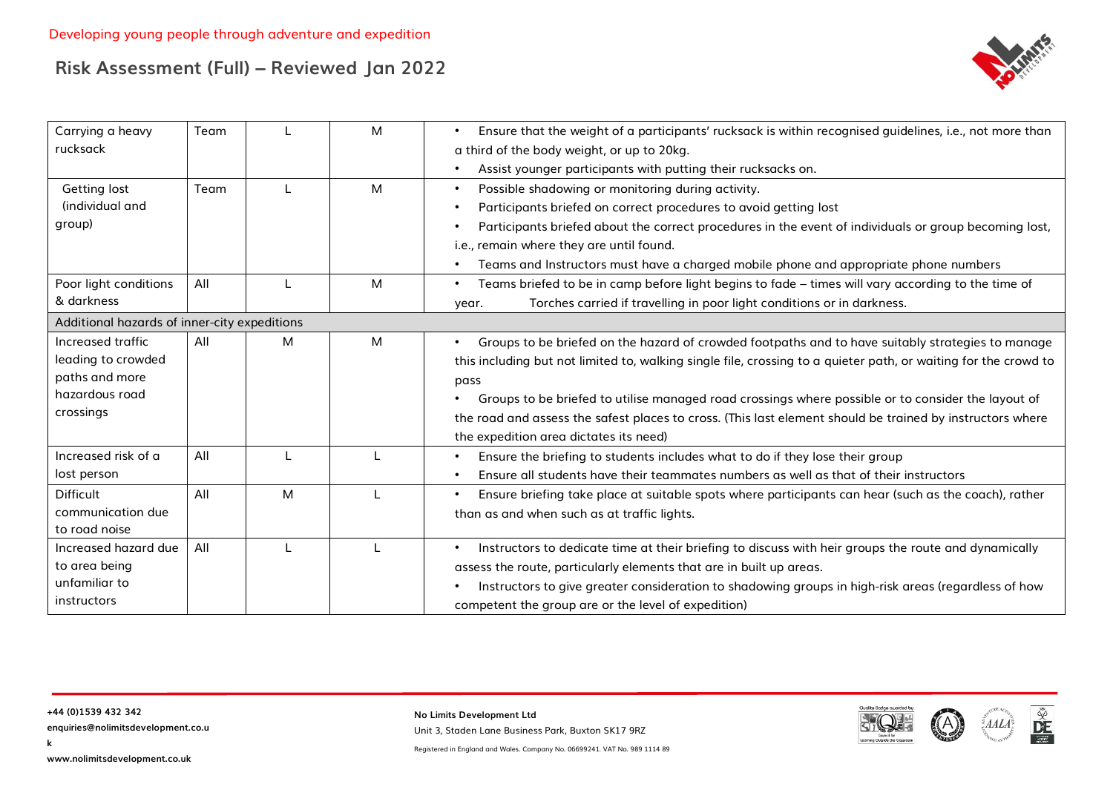

| Carrying a heavy                             | Team |   | M | Ensure that the weight of a participants' rucksack is within recognised guidelines, i.e., not more than<br>$\bullet$ |
|----------------------------------------------|------|---|---|----------------------------------------------------------------------------------------------------------------------|
| rucksack                                     |      |   |   | a third of the body weight, or up to 20kg.                                                                           |
|                                              |      |   |   | Assist younger participants with putting their rucksacks on.                                                         |
| Getting lost                                 | Team |   | M | Possible shadowing or monitoring during activity.<br>$\bullet$                                                       |
| (individual and                              |      |   |   | Participants briefed on correct procedures to avoid getting lost                                                     |
| group)                                       |      |   |   | Participants briefed about the correct procedures in the event of individuals or group becoming lost,                |
|                                              |      |   |   | i.e., remain where they are until found.                                                                             |
|                                              |      |   |   | Teams and Instructors must have a charged mobile phone and appropriate phone numbers                                 |
| Poor light conditions                        | All  |   | M | Teams briefed to be in camp before light begins to fade - times will vary according to the time of<br>$\bullet$      |
| & darkness                                   |      |   |   | Torches carried if travelling in poor light conditions or in darkness.<br>year.                                      |
| Additional hazards of inner-city expeditions |      |   |   |                                                                                                                      |
| Increased traffic                            | All  | M | M | Groups to be briefed on the hazard of crowded footpaths and to have suitably strategies to manage<br>$\bullet$       |
| leading to crowded                           |      |   |   | this including but not limited to, walking single file, crossing to a quieter path, or waiting for the crowd to      |
| paths and more                               |      |   |   | pass                                                                                                                 |
| hazardous road                               |      |   |   | Groups to be briefed to utilise managed road crossings where possible or to consider the layout of                   |
| crossings                                    |      |   |   | the road and assess the safest places to cross. (This last element should be trained by instructors where            |
|                                              |      |   |   | the expedition area dictates its need)                                                                               |
| Increased risk of a                          | All  |   |   | Ensure the briefing to students includes what to do if they lose their group                                         |
| lost person                                  |      |   |   | Ensure all students have their teammates numbers as well as that of their instructors                                |
| <b>Difficult</b>                             | All  | M |   | Ensure briefing take place at suitable spots where participants can hear (such as the coach), rather<br>$\bullet$    |
| communication due                            |      |   |   | than as and when such as at traffic lights.                                                                          |
| to road noise                                |      |   |   |                                                                                                                      |
| Increased hazard due                         | All  |   |   | Instructors to dedicate time at their briefing to discuss with heir groups the route and dynamically<br>$\bullet$    |
| to area being                                |      |   |   | assess the route, particularly elements that are in built up areas.                                                  |
| unfamiliar to                                |      |   |   | Instructors to give greater consideration to shadowing groups in high-risk areas (regardless of how                  |
| instructors                                  |      |   |   | competent the group are or the level of expedition)                                                                  |

**No Limits Development Ltd** Unit 3, Staden Lane Business Park, Buxton SK17 9RZ



DE

**k**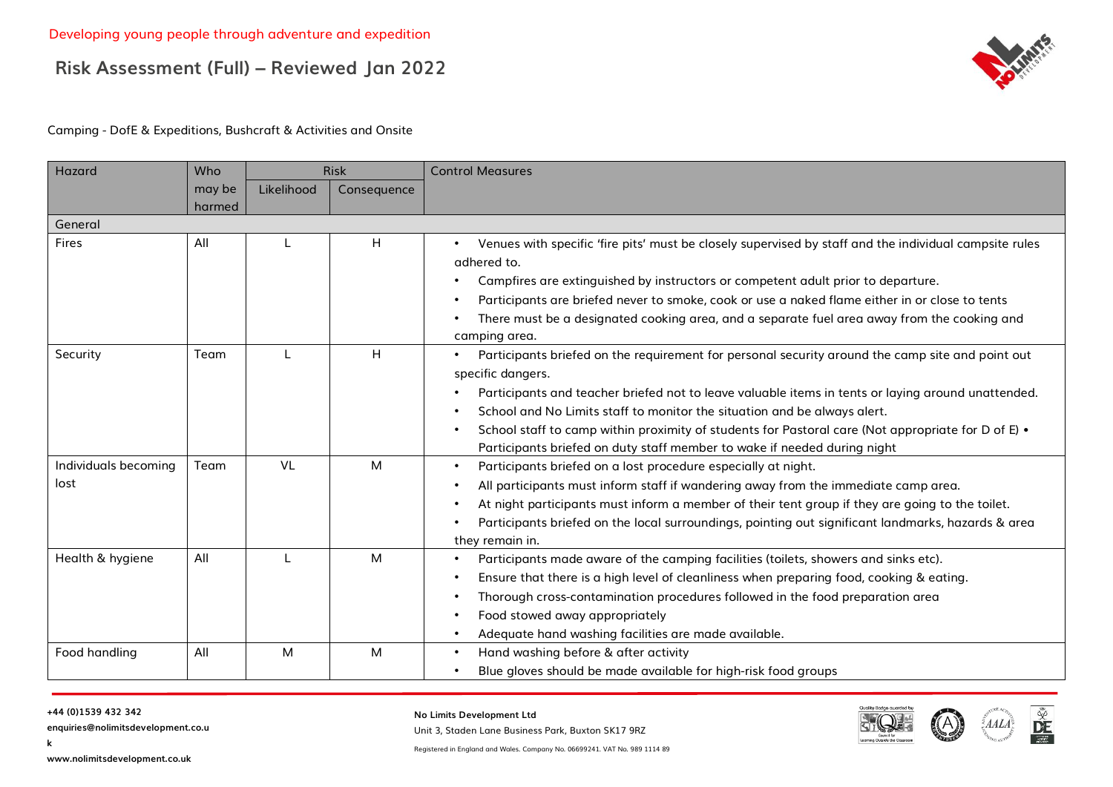

#### Camping - DofE & Expeditions, Bushcraft & Activities and Onsite

| Hazard                       | Who              |            | <b>Risk</b> | <b>Control Measures</b>                                                                                                                                                                                                                                                                                                                                                                                                                                                                   |
|------------------------------|------------------|------------|-------------|-------------------------------------------------------------------------------------------------------------------------------------------------------------------------------------------------------------------------------------------------------------------------------------------------------------------------------------------------------------------------------------------------------------------------------------------------------------------------------------------|
|                              | may be<br>harmed | Likelihood | Consequence |                                                                                                                                                                                                                                                                                                                                                                                                                                                                                           |
| General                      |                  |            |             |                                                                                                                                                                                                                                                                                                                                                                                                                                                                                           |
| Fires                        | All              |            | H           | Venues with specific 'fire pits' must be closely supervised by staff and the individual campsite rules<br>adhered to.<br>Campfires are extinguished by instructors or competent adult prior to departure.<br>Participants are briefed never to smoke, cook or use a naked flame either in or close to tents<br>There must be a designated cooking area, and a separate fuel area away from the cooking and<br>camping area.                                                               |
| Security                     | Team             |            | H           | Participants briefed on the requirement for personal security around the camp site and point out<br>specific dangers.<br>Participants and teacher briefed not to leave valuable items in tents or laying around unattended.<br>School and No Limits staff to monitor the situation and be always alert.<br>School staff to camp within proximity of students for Pastoral care (Not appropriate for D of E) •<br>Participants briefed on duty staff member to wake if needed during night |
| Individuals becoming<br>lost | Team             | <b>VL</b>  | M           | Participants briefed on a lost procedure especially at night.<br>All participants must inform staff if wandering away from the immediate camp area.<br>At night participants must inform a member of their tent group if they are going to the toilet.<br>Participants briefed on the local surroundings, pointing out significant landmarks, hazards & area<br>they remain in.                                                                                                           |
| Health & hygiene             | All              |            | M           | Participants made aware of the camping facilities (toilets, showers and sinks etc).<br>Ensure that there is a high level of cleanliness when preparing food, cooking & eating.<br>Thorough cross-contamination procedures followed in the food preparation area<br>Food stowed away appropriately<br>Adequate hand washing facilities are made available.                                                                                                                                 |
| Food handling                | All              | M          | M           | Hand washing before & after activity<br>Blue gloves should be made available for high-risk food groups                                                                                                                                                                                                                                                                                                                                                                                    |

#### **+44 (0)1539 432 342**

**k**

**enquiries@nolimitsdevelopment.co.u**

**No Limits Development Ltd**

Unit 3, Staden Lane Business Park, Buxton SK17 9RZ





Registered in England and Wales. Company No. 06699241. VAT No. 989 1114 89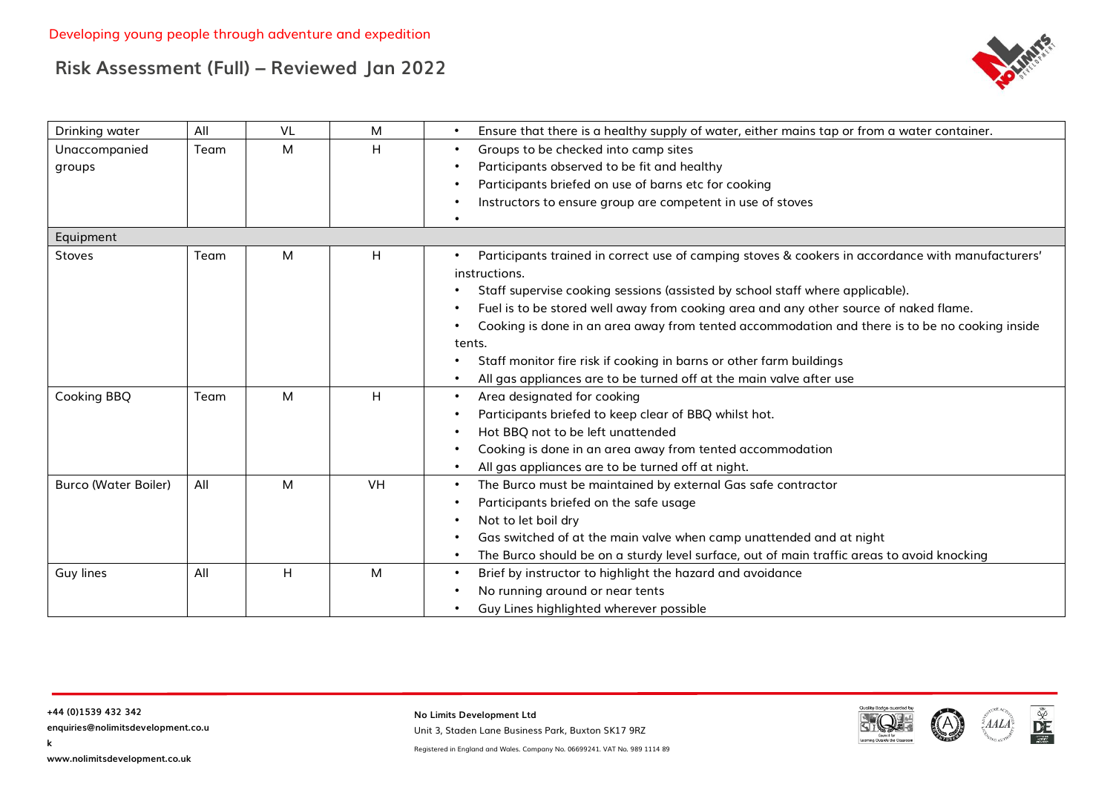

| Drinking water              | All  | VL | M         | Ensure that there is a healthy supply of water, either mains tap or from a water container.       |
|-----------------------------|------|----|-----------|---------------------------------------------------------------------------------------------------|
| Unaccompanied               | Team | M  | Η         | Groups to be checked into camp sites                                                              |
| groups                      |      |    |           | Participants observed to be fit and healthy                                                       |
|                             |      |    |           | Participants briefed on use of barns etc for cooking                                              |
|                             |      |    |           | Instructors to ensure group are competent in use of stoves                                        |
|                             |      |    |           |                                                                                                   |
| Equipment                   |      |    |           |                                                                                                   |
| Stoves                      | Team | M  | H         | Participants trained in correct use of camping stoves & cookers in accordance with manufacturers' |
|                             |      |    |           | instructions.                                                                                     |
|                             |      |    |           | Staff supervise cooking sessions (assisted by school staff where applicable).                     |
|                             |      |    |           | Fuel is to be stored well away from cooking area and any other source of naked flame.             |
|                             |      |    |           | Cooking is done in an area away from tented accommodation and there is to be no cooking inside    |
|                             |      |    |           | tents.                                                                                            |
|                             |      |    |           | Staff monitor fire risk if cooking in barns or other farm buildings                               |
|                             |      |    |           | All gas appliances are to be turned off at the main valve after use                               |
| Cooking BBQ                 | Team | M  | H.        | Area designated for cooking                                                                       |
|                             |      |    |           | Participants briefed to keep clear of BBQ whilst hot.                                             |
|                             |      |    |           | Hot BBQ not to be left unattended                                                                 |
|                             |      |    |           | Cooking is done in an area away from tented accommodation                                         |
|                             |      |    |           | All gas appliances are to be turned off at night.                                                 |
| <b>Burco (Water Boiler)</b> | All  | M  | <b>VH</b> | The Burco must be maintained by external Gas safe contractor                                      |
|                             |      |    |           | Participants briefed on the safe usage                                                            |
|                             |      |    |           | Not to let boil dry                                                                               |
|                             |      |    |           | Gas switched of at the main valve when camp unattended and at night                               |
|                             |      |    |           | The Burco should be on a sturdy level surface, out of main traffic areas to avoid knocking        |
| Guy lines                   | All  | H  | M         | Brief by instructor to highlight the hazard and avoidance                                         |
|                             |      |    |           | No running around or near tents                                                                   |
|                             |      |    |           | Guy Lines highlighted wherever possible                                                           |

**k**

**No Limits Development Ltd** Unit 3, Staden Lane Business Park, Buxton SK17 9RZ



 $\frac{\tilde{\mathbf{w}}}{\mathbf{D}E}$ 

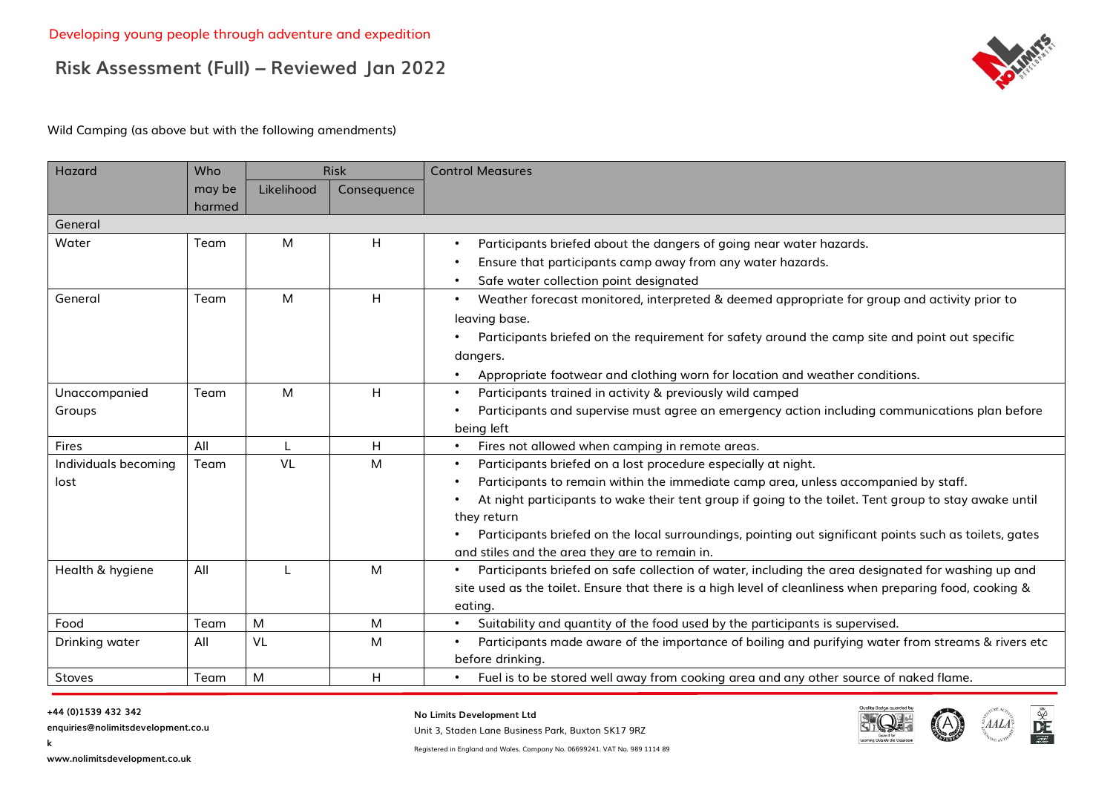

Wild Camping (as above but with the following amendments)

| Hazard               | Who              |            | <b>Risk</b> | <b>Control Measures</b>                                                                                         |
|----------------------|------------------|------------|-------------|-----------------------------------------------------------------------------------------------------------------|
|                      | may be<br>harmed | Likelihood | Consequence |                                                                                                                 |
| General              |                  |            |             |                                                                                                                 |
| Water                | Team             | M          | H           | Participants briefed about the dangers of going near water hazards.                                             |
|                      |                  |            |             | Ensure that participants camp away from any water hazards.<br>$\bullet$                                         |
|                      |                  |            |             | Safe water collection point designated<br>$\bullet$                                                             |
| General              | Team             | M          | H           | Weather forecast monitored, interpreted & deemed appropriate for group and activity prior to                    |
|                      |                  |            |             | leaving base.                                                                                                   |
|                      |                  |            |             | Participants briefed on the requirement for safety around the camp site and point out specific                  |
|                      |                  |            |             | dangers.                                                                                                        |
|                      |                  |            |             | Appropriate footwear and clothing worn for location and weather conditions.                                     |
| Unaccompanied        | Team             | M          | H           | Participants trained in activity & previously wild camped                                                       |
| Groups               |                  |            |             | Participants and supervise must agree an emergency action including communications plan before                  |
|                      |                  |            |             | being left                                                                                                      |
| Fires                | All              |            | H           | Fires not allowed when camping in remote areas.<br>$\bullet$                                                    |
| Individuals becoming | Team             | <b>VL</b>  | м           | Participants briefed on a lost procedure especially at night.<br>$\bullet$                                      |
| lost                 |                  |            |             | Participants to remain within the immediate camp area, unless accompanied by staff.                             |
|                      |                  |            |             | At night participants to wake their tent group if going to the toilet. Tent group to stay awake until           |
|                      |                  |            |             | they return                                                                                                     |
|                      |                  |            |             | Participants briefed on the local surroundings, pointing out significant points such as toilets, gates          |
|                      |                  |            |             | and stiles and the area they are to remain in.                                                                  |
| Health & hygiene     | All              |            | M           | Participants briefed on safe collection of water, including the area designated for washing up and              |
|                      |                  |            |             | site used as the toilet. Ensure that there is a high level of cleanliness when preparing food, cooking &        |
|                      |                  |            |             | eating.                                                                                                         |
| Food                 | Team             | M          | M           | Suitability and quantity of the food used by the participants is supervised.<br>$\bullet$                       |
| Drinking water       | All              | <b>VL</b>  | м           | Participants made aware of the importance of boiling and purifying water from streams & rivers etc<br>$\bullet$ |
|                      |                  |            |             | before drinking.                                                                                                |
| Stoves               | Team             | ${\sf M}$  | H           | Fuel is to be stored well away from cooking area and any other source of naked flame.<br>$\bullet$              |

**k**

**enquiries@nolimitsdevelopment.co.u**

**No Limits Development Ltd**

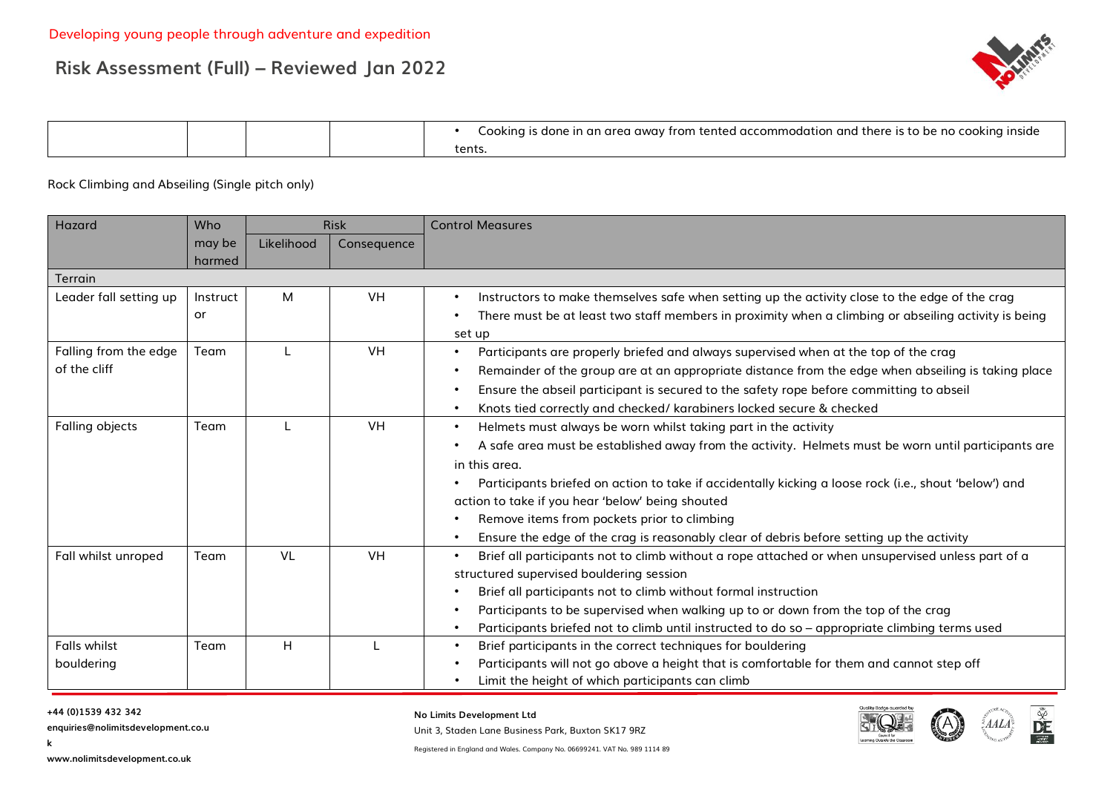

|  |  | , accommodation<br>and<br>l there<br>nside<br>nnkinn<br>$\sim$<br>$\cdot$ trom.<br>∵s to be no<br>aone<br>Tenter<br>-an |
|--|--|-------------------------------------------------------------------------------------------------------------------------|
|  |  | ten.                                                                                                                    |

Rock Climbing and Abseiling (Single pitch only)

| Hazard                                | Who              |            | <b>Risk</b> | <b>Control Measures</b>                                                                                                                                                                                                                                                                                                                                                                                                                                                                                     |
|---------------------------------------|------------------|------------|-------------|-------------------------------------------------------------------------------------------------------------------------------------------------------------------------------------------------------------------------------------------------------------------------------------------------------------------------------------------------------------------------------------------------------------------------------------------------------------------------------------------------------------|
|                                       | may be<br>harmed | Likelihood | Consequence |                                                                                                                                                                                                                                                                                                                                                                                                                                                                                                             |
| <b>Terrain</b>                        |                  |            |             |                                                                                                                                                                                                                                                                                                                                                                                                                                                                                                             |
| Leader fall setting up                | Instruct<br>or   | M          | <b>VH</b>   | Instructors to make themselves safe when setting up the activity close to the edge of the crag<br>There must be at least two staff members in proximity when a climbing or abseiling activity is being<br>set up                                                                                                                                                                                                                                                                                            |
| Falling from the edge<br>of the cliff | Team             |            | <b>VH</b>   | Participants are properly briefed and always supervised when at the top of the crag<br>$\bullet$<br>Remainder of the group are at an appropriate distance from the edge when abseiling is taking place<br>Ensure the abseil participant is secured to the safety rope before committing to abseil<br>Knots tied correctly and checked/ karabiners locked secure & checked                                                                                                                                   |
| Falling objects                       | Team             |            | <b>VH</b>   | Helmets must always be worn whilst taking part in the activity<br>$\bullet$<br>A safe area must be established away from the activity. Helmets must be worn until participants are<br>in this area.<br>Participants briefed on action to take if accidentally kicking a loose rock (i.e., shout 'below') and<br>action to take if you hear 'below' being shouted<br>Remove items from pockets prior to climbing<br>Ensure the edge of the crag is reasonably clear of debris before setting up the activity |
| Fall whilst unroped                   | Team             | <b>VL</b>  | <b>VH</b>   | Brief all participants not to climb without a rope attached or when unsupervised unless part of a<br>structured supervised bouldering session<br>Brief all participants not to climb without formal instruction<br>Participants to be supervised when walking up to or down from the top of the crag<br>Participants briefed not to climb until instructed to do so - appropriate climbing terms used                                                                                                       |
| <b>Falls whilst</b><br>bouldering     | Team             | H          |             | Brief participants in the correct techniques for bouldering<br>$\bullet$<br>Participants will not go above a height that is comfortable for them and cannot step off<br>Limit the height of which participants can climb                                                                                                                                                                                                                                                                                    |

#### **+44 (0)1539 432 342**

**k**

**enquiries@nolimitsdevelopment.co.u**

**No Limits Development Ltd**

Unit 3, Staden Lane Business Park, Buxton SK17 9RZ

Registered in England and Wales. Company No. 06699241. VAT No. 989 1114 89



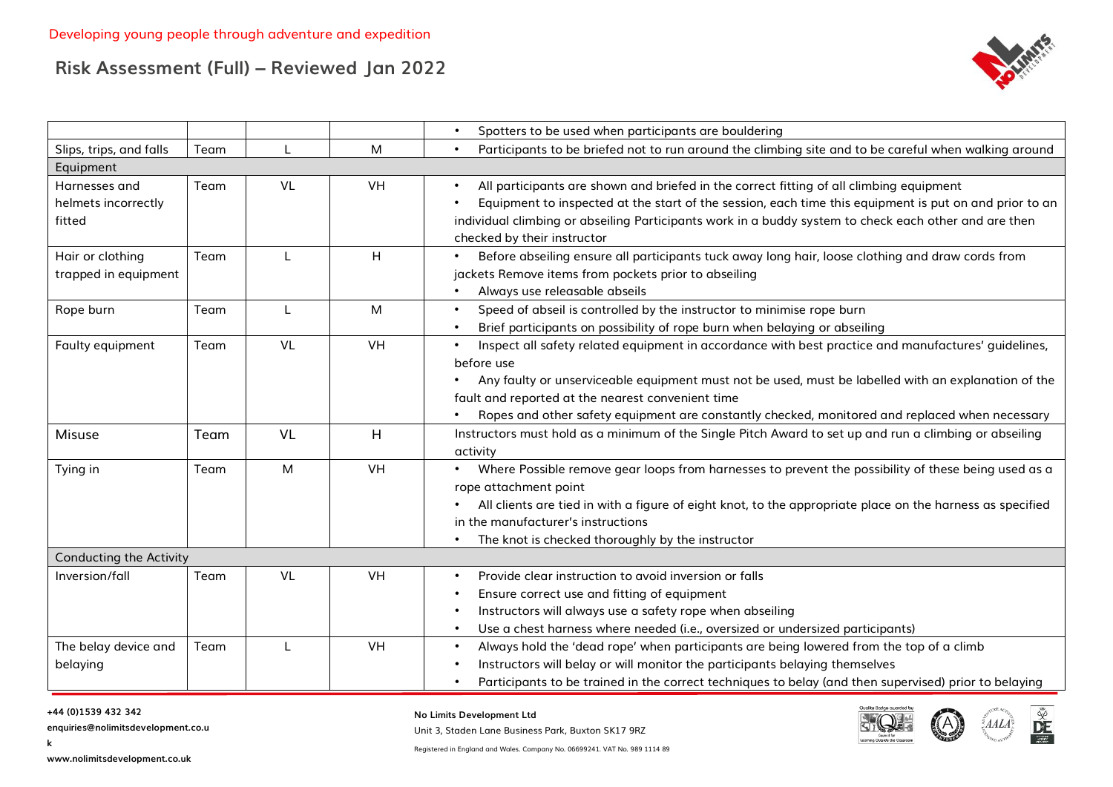

|                                      |      |           |           | Spotters to be used when participants are bouldering<br>$\bullet$                                                                                                                                 |
|--------------------------------------|------|-----------|-----------|---------------------------------------------------------------------------------------------------------------------------------------------------------------------------------------------------|
| Slips, trips, and falls              | Team |           | M         | Participants to be briefed not to run around the climbing site and to be careful when walking around                                                                                              |
| Equipment                            |      |           |           |                                                                                                                                                                                                   |
| Harnesses and<br>helmets incorrectly | Team | VL        | VH        | All participants are shown and briefed in the correct fitting of all climbing equipment<br>Equipment to inspected at the start of the session, each time this equipment is put on and prior to an |
| fitted                               |      |           |           | individual climbing or abseiling Participants work in a buddy system to check each other and are then<br>checked by their instructor                                                              |
| Hair or clothing                     | Team |           | H         | Before abseiling ensure all participants tuck away long hair, loose clothing and draw cords from                                                                                                  |
| trapped in equipment                 |      |           |           | jackets Remove items from pockets prior to abseiling                                                                                                                                              |
|                                      |      |           |           | Always use releasable abseils                                                                                                                                                                     |
| Rope burn                            | Team |           | M         | Speed of abseil is controlled by the instructor to minimise rope burn<br>$\bullet$                                                                                                                |
|                                      |      |           |           | Brief participants on possibility of rope burn when belaying or abseiling                                                                                                                         |
| Faulty equipment                     | Team | VL        | <b>VH</b> | Inspect all safety related equipment in accordance with best practice and manufactures' guidelines,                                                                                               |
|                                      |      |           |           | before use                                                                                                                                                                                        |
|                                      |      |           |           | Any faulty or unserviceable equipment must not be used, must be labelled with an explanation of the                                                                                               |
|                                      |      |           |           | fault and reported at the nearest convenient time                                                                                                                                                 |
|                                      |      |           |           | Ropes and other safety equipment are constantly checked, monitored and replaced when necessary                                                                                                    |
| <b>Misuse</b>                        | Team | <b>VL</b> | H         | Instructors must hold as a minimum of the Single Pitch Award to set up and run a climbing or abseiling<br>activity                                                                                |
| Tying in                             | Team | M         | <b>VH</b> | • Where Possible remove gear loops from harnesses to prevent the possibility of these being used as a                                                                                             |
|                                      |      |           |           | rope attachment point                                                                                                                                                                             |
|                                      |      |           |           | All clients are tied in with a figure of eight knot, to the appropriate place on the harness as specified                                                                                         |
|                                      |      |           |           | in the manufacturer's instructions                                                                                                                                                                |
|                                      |      |           |           | The knot is checked thoroughly by the instructor                                                                                                                                                  |
| <b>Conducting the Activity</b>       |      |           |           |                                                                                                                                                                                                   |
| Inversion/fall                       | Team | <b>VL</b> | <b>VH</b> | Provide clear instruction to avoid inversion or falls                                                                                                                                             |
|                                      |      |           |           | Ensure correct use and fitting of equipment                                                                                                                                                       |
|                                      |      |           |           | Instructors will always use a safety rope when abseiling                                                                                                                                          |
|                                      |      |           |           | Use a chest harness where needed (i.e., oversized or undersized participants)                                                                                                                     |
| The belay device and                 | Team |           | <b>VH</b> | Always hold the 'dead rope' when participants are being lowered from the top of a climb                                                                                                           |
| belaying                             |      |           |           | Instructors will belay or will monitor the participants belaying themselves                                                                                                                       |
|                                      |      |           |           | Participants to be trained in the correct techniques to belay (and then supervised) prior to belaying                                                                                             |

#### **+44 (0)1539 432 342**

**k**

**enquiries@nolimitsdevelopment.co.u**

**No Limits Development Ltd**

Unit 3, Staden Lane Business Park, Buxton SK17 9RZ



DE

 $\mathbb{E} A A L$ 

**www.nolimitsdevelopment.co.uk**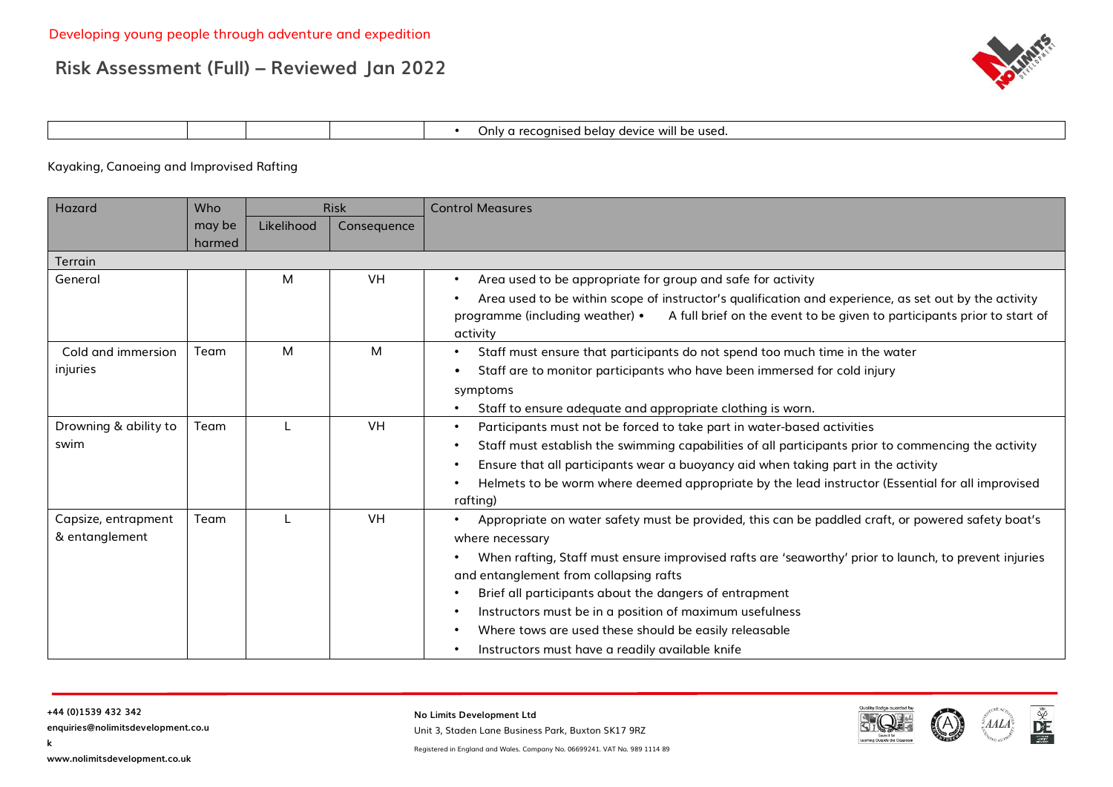

| Jnlv. | <br>i belav<br>l be used.<br>recognised<br>1.001101<br><b>A</b><br>VVIII<br>UUVUE |
|-------|-----------------------------------------------------------------------------------|
|-------|-----------------------------------------------------------------------------------|

#### Kayaking, Canoeing and Improvised Rafting

| Hazard                | Who    |            | <b>Risk</b> | <b>Control Measures</b>                                                                                    |
|-----------------------|--------|------------|-------------|------------------------------------------------------------------------------------------------------------|
|                       | may be | Likelihood | Consequence |                                                                                                            |
|                       | harmed |            |             |                                                                                                            |
| Terrain               |        |            |             |                                                                                                            |
| General               |        | м          | <b>VH</b>   | Area used to be appropriate for group and safe for activity                                                |
|                       |        |            |             | Area used to be within scope of instructor's qualification and experience, as set out by the activity      |
|                       |        |            |             | programme (including weather) •<br>A full brief on the event to be given to participants prior to start of |
|                       |        |            |             | activity                                                                                                   |
| Cold and immersion    | Team   | M          | М           | Staff must ensure that participants do not spend too much time in the water                                |
| injuries              |        |            |             | Staff are to monitor participants who have been immersed for cold injury                                   |
|                       |        |            |             | symptoms                                                                                                   |
|                       |        |            |             | Staff to ensure adequate and appropriate clothing is worn.                                                 |
| Drowning & ability to | Team   |            | <b>VH</b>   | Participants must not be forced to take part in water-based activities                                     |
| swim                  |        |            |             | Staff must establish the swimming capabilities of all participants prior to commencing the activity        |
|                       |        |            |             | Ensure that all participants wear a buoyancy aid when taking part in the activity                          |
|                       |        |            |             | Helmets to be worm where deemed appropriate by the lead instructor (Essential for all improvised           |
|                       |        |            |             | rafting)                                                                                                   |
| Capsize, entrapment   | Team   |            | <b>VH</b>   | Appropriate on water safety must be provided, this can be paddled craft, or powered safety boat's          |
| & entanglement        |        |            |             | where necessary                                                                                            |
|                       |        |            |             | When rafting, Staff must ensure improvised rafts are 'seaworthy' prior to launch, to prevent injuries      |
|                       |        |            |             | and entanglement from collapsing rafts                                                                     |
|                       |        |            |             | Brief all participants about the dangers of entrapment                                                     |
|                       |        |            |             | Instructors must be in a position of maximum usefulness                                                    |
|                       |        |            |             | Where tows are used these should be easily releasable                                                      |
|                       |        |            |             | Instructors must have a readily available knife                                                            |

**k**

**enquiries@nolimitsdevelopment.co.u**

**No Limits Development Ltd**

Unit 3, Staden Lane Business Park, Buxton SK17 9RZ



 $\frac{\tilde{\mathbf{v}}}{\tilde{\mathbf{v}}^2}$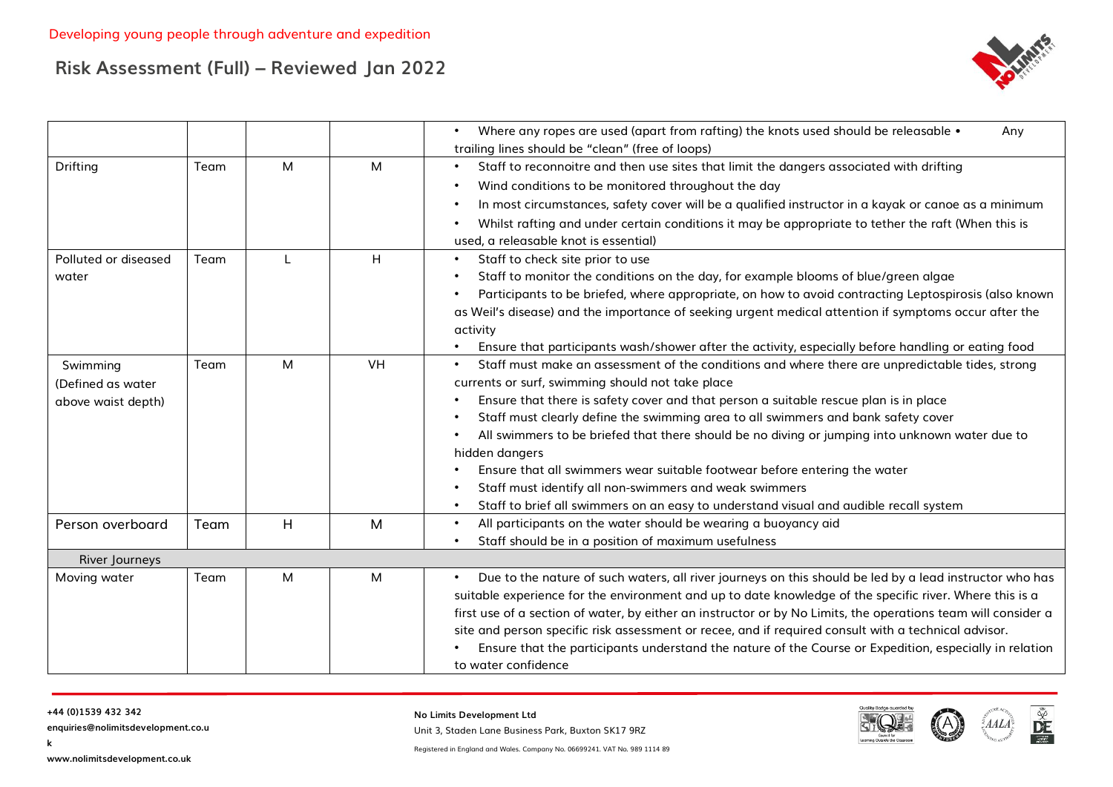

|                                                     |      |   |    | Where any ropes are used (apart from rafting) the knots used should be releasable •<br>Any<br>trailing lines should be "clean" (free of loops)                                                                                                                                                                                                                                                                                                                                                                                                                                                                                                                                       |
|-----------------------------------------------------|------|---|----|--------------------------------------------------------------------------------------------------------------------------------------------------------------------------------------------------------------------------------------------------------------------------------------------------------------------------------------------------------------------------------------------------------------------------------------------------------------------------------------------------------------------------------------------------------------------------------------------------------------------------------------------------------------------------------------|
| Drifting                                            | Team | M | M  | Staff to reconnoitre and then use sites that limit the dangers associated with drifting<br>Wind conditions to be monitored throughout the day<br>In most circumstances, safety cover will be a qualified instructor in a kayak or canoe as a minimum<br>Whilst rafting and under certain conditions it may be appropriate to tether the raft (When this is<br>used, a releasable knot is essential)                                                                                                                                                                                                                                                                                  |
| Polluted or diseased<br>water                       | Team |   | H  | Staff to check site prior to use<br>$\bullet$<br>Staff to monitor the conditions on the day, for example blooms of blue/green algae<br>Participants to be briefed, where appropriate, on how to avoid contracting Leptospirosis (also known<br>as Weil's disease) and the importance of seeking urgent medical attention if symptoms occur after the<br>activity<br>Ensure that participants wash/shower after the activity, especially before handling or eating food                                                                                                                                                                                                               |
| Swimming<br>(Defined as water<br>above waist depth) | Team | M | VH | Staff must make an assessment of the conditions and where there are unpredictable tides, strong<br>currents or surf, swimming should not take place<br>Ensure that there is safety cover and that person a suitable rescue plan is in place<br>Staff must clearly define the swimming area to all swimmers and bank safety cover<br>All swimmers to be briefed that there should be no diving or jumping into unknown water due to<br>hidden dangers<br>Ensure that all swimmers wear suitable footwear before entering the water<br>Staff must identify all non-swimmers and weak swimmers<br>Staff to brief all swimmers on an easy to understand visual and audible recall system |
| Person overboard                                    | Team | H | M  | All participants on the water should be wearing a buoyancy aid<br>Staff should be in a position of maximum usefulness                                                                                                                                                                                                                                                                                                                                                                                                                                                                                                                                                                |
| River Journeys                                      |      |   |    |                                                                                                                                                                                                                                                                                                                                                                                                                                                                                                                                                                                                                                                                                      |
| Moving water                                        | Team | M | M  | Due to the nature of such waters, all river journeys on this should be led by a lead instructor who has<br>suitable experience for the environment and up to date knowledge of the specific river. Where this is a<br>first use of a section of water, by either an instructor or by No Limits, the operations team will consider a<br>site and person specific risk assessment or recee, and if required consult with a technical advisor.<br>Ensure that the participants understand the nature of the Course or Expedition, especially in relation<br>to water confidence                                                                                                         |

**k**

**enquiries@nolimitsdevelopment.co.u**

**No Limits Development Ltd**

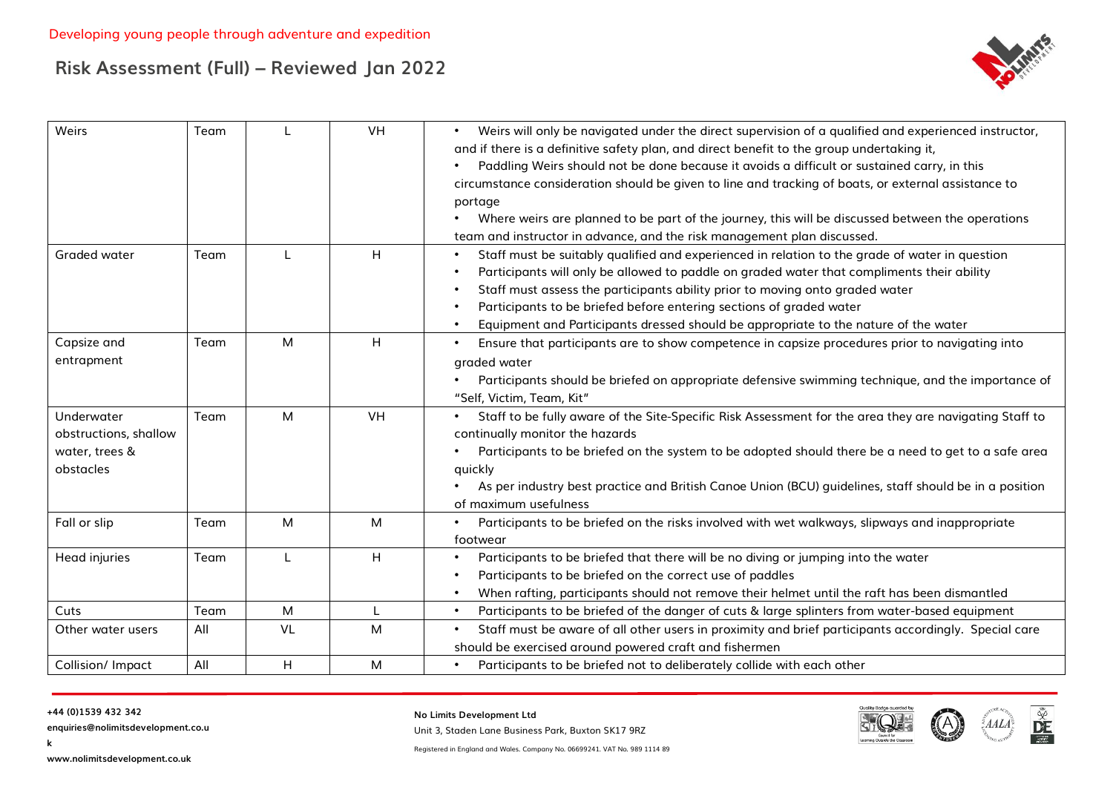

| Weirs                                                              | Team |    | <b>VH</b> | Weirs will only be navigated under the direct supervision of a qualified and experienced instructor,<br>and if there is a definitive safety plan, and direct benefit to the group undertaking it,<br>Paddling Weirs should not be done because it avoids a difficult or sustained carry, in this<br>circumstance consideration should be given to line and tracking of boats, or external assistance to<br>portage<br>Where weirs are planned to be part of the journey, this will be discussed between the operations<br>team and instructor in advance, and the risk management plan discussed. |
|--------------------------------------------------------------------|------|----|-----------|---------------------------------------------------------------------------------------------------------------------------------------------------------------------------------------------------------------------------------------------------------------------------------------------------------------------------------------------------------------------------------------------------------------------------------------------------------------------------------------------------------------------------------------------------------------------------------------------------|
| Graded water                                                       | Team |    | H         | Staff must be suitably qualified and experienced in relation to the grade of water in question<br>Participants will only be allowed to paddle on graded water that compliments their ability<br>Staff must assess the participants ability prior to moving onto graded water<br>Participants to be briefed before entering sections of graded water<br>Equipment and Participants dressed should be appropriate to the nature of the water                                                                                                                                                        |
| Capsize and<br>entrapment                                          | Team | M  | H         | Ensure that participants are to show competence in capsize procedures prior to navigating into<br>graded water<br>Participants should be briefed on appropriate defensive swimming technique, and the importance of<br>"Self, Victim, Team, Kit"                                                                                                                                                                                                                                                                                                                                                  |
| Underwater<br>obstructions, shallow<br>water, trees &<br>obstacles | Team | M  | VH        | Staff to be fully aware of the Site-Specific Risk Assessment for the area they are navigating Staff to<br>continually monitor the hazards<br>Participants to be briefed on the system to be adopted should there be a need to get to a safe area<br>quickly<br>As per industry best practice and British Canoe Union (BCU) guidelines, staff should be in a position<br>of maximum usefulness                                                                                                                                                                                                     |
| Fall or slip                                                       | Team | M  | M         | Participants to be briefed on the risks involved with wet walkways, slipways and inappropriate<br>footwear                                                                                                                                                                                                                                                                                                                                                                                                                                                                                        |
| Head injuries                                                      | Team |    | H         | Participants to be briefed that there will be no diving or jumping into the water<br>Participants to be briefed on the correct use of paddles<br>When rafting, participants should not remove their helmet until the raft has been dismantled                                                                                                                                                                                                                                                                                                                                                     |
| Cuts                                                               | Team | M  |           | Participants to be briefed of the danger of cuts & large splinters from water-based equipment<br>$\bullet$                                                                                                                                                                                                                                                                                                                                                                                                                                                                                        |
| Other water users                                                  | All  | VL | M         | Staff must be aware of all other users in proximity and brief participants accordingly. Special care<br>should be exercised around powered craft and fishermen                                                                                                                                                                                                                                                                                                                                                                                                                                    |
| Collision/ Impact                                                  | All  | H  | M         | Participants to be briefed not to deliberately collide with each other<br>$\bullet$                                                                                                                                                                                                                                                                                                                                                                                                                                                                                                               |

**k**

**enquiries@nolimitsdevelopment.co.u**

**No Limits Development Ltd**

Unit 3, Staden Lane Business Park, Buxton SK17 9RZ



**www.nolimitsdevelopment.co.uk**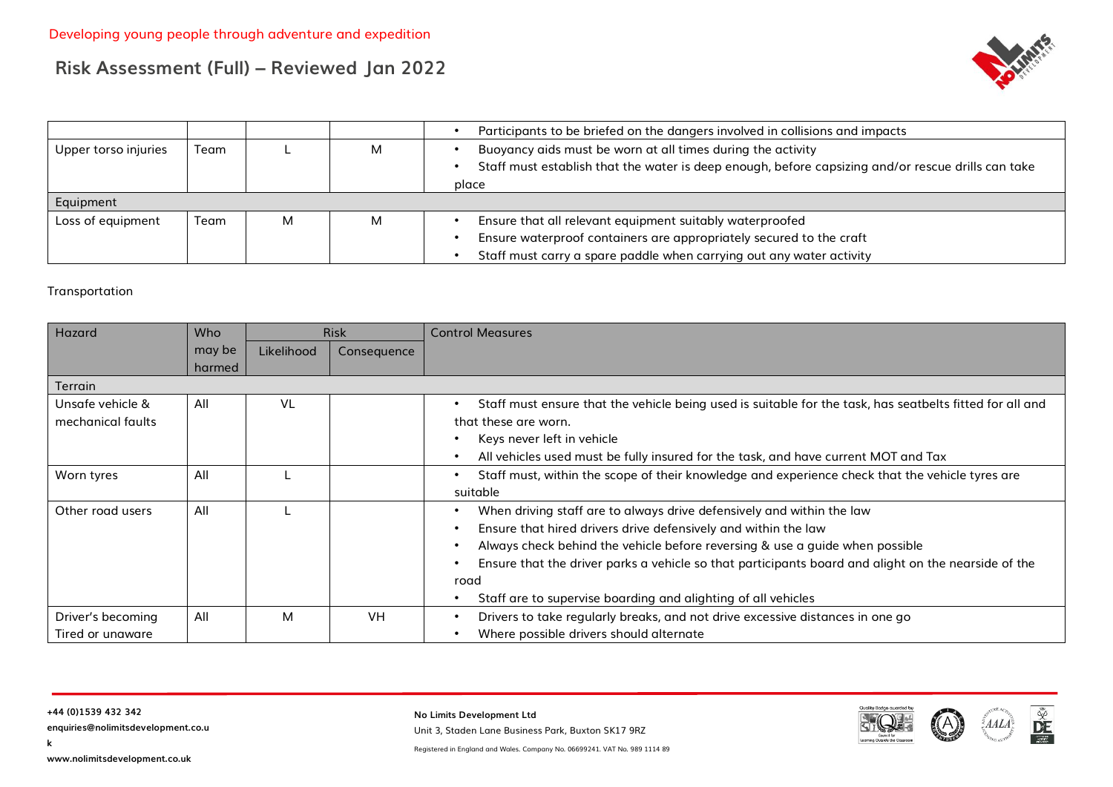

|                      |      |   |   | Participants to be briefed on the dangers involved in collisions and impacts                                                                                               |
|----------------------|------|---|---|----------------------------------------------------------------------------------------------------------------------------------------------------------------------------|
| Upper torso injuries | Team |   | М | Buoyancy aids must be worn at all times during the activity<br>Staff must establish that the water is deep enough, before capsizing and/or rescue drills can take<br>place |
| Equipment            |      |   |   |                                                                                                                                                                            |
| Loss of equipment    | Team | M | М | Ensure that all relevant equipment suitably waterproofed                                                                                                                   |
|                      |      |   |   | Ensure waterproof containers are appropriately secured to the craft                                                                                                        |
|                      |      |   |   | Staff must carry a spare paddle when carrying out any water activity                                                                                                       |

#### Transportation

| Hazard            | <b>Who</b> |            | <b>Risk</b> | <b>Control Measures</b>                                                                                  |
|-------------------|------------|------------|-------------|----------------------------------------------------------------------------------------------------------|
|                   | may be     | Likelihood | Consequence |                                                                                                          |
|                   | harmed     |            |             |                                                                                                          |
| Terrain           |            |            |             |                                                                                                          |
| Unsafe vehicle &  | All        | VL         |             | Staff must ensure that the vehicle being used is suitable for the task, has seatbelts fitted for all and |
| mechanical faults |            |            |             | that these are worn.                                                                                     |
|                   |            |            |             | Keys never left in vehicle                                                                               |
|                   |            |            |             | All vehicles used must be fully insured for the task, and have current MOT and Tax                       |
| Worn tyres        | All        |            |             | Staff must, within the scope of their knowledge and experience check that the vehicle tyres are          |
|                   |            |            |             | suitable                                                                                                 |
| Other road users  | All        |            |             | When driving staff are to always drive defensively and within the law                                    |
|                   |            |            |             | Ensure that hired drivers drive defensively and within the law                                           |
|                   |            |            |             | Always check behind the vehicle before reversing & use a guide when possible                             |
|                   |            |            |             | Ensure that the driver parks a vehicle so that participants board and alight on the nearside of the      |
|                   |            |            |             | road                                                                                                     |
|                   |            |            |             | Staff are to supervise boarding and alighting of all vehicles                                            |
| Driver's becoming | All        | M          | <b>VH</b>   | Drivers to take regularly breaks, and not drive excessive distances in one go                            |
| Tired or unaware  |            |            |             | Where possible drivers should alternate                                                                  |

**enquiries@nolimitsdevelopment.co.u**

**No Limits Development Ltd** Unit 3, Staden Lane Business Park, Buxton SK17 9RZ



 $\frac{\tilde{\mathbf{v}}}{\tilde{\mathbf{v}}^2}$ 

 $\mathbb{E} A A L$ 

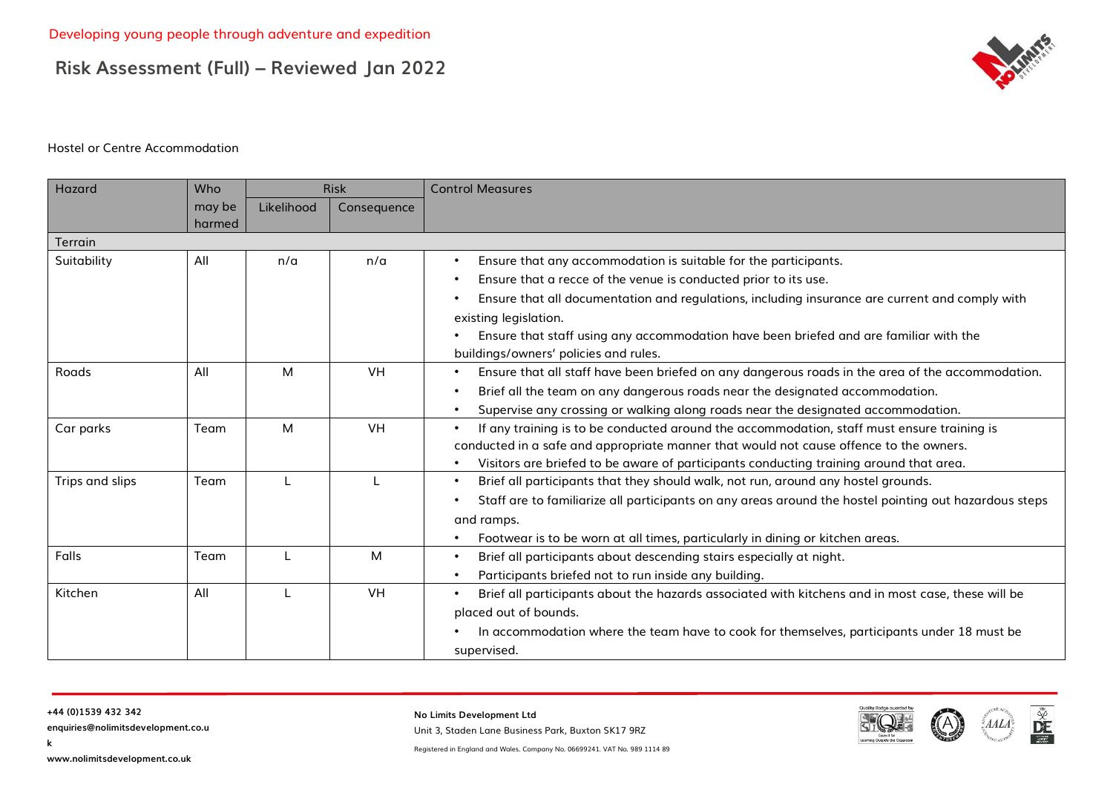

#### Hostel or Centre Accommodation

| Hazard          | Who              |            | <b>Risk</b> | <b>Control Measures</b>                                                                                       |
|-----------------|------------------|------------|-------------|---------------------------------------------------------------------------------------------------------------|
|                 | may be<br>harmed | Likelihood | Consequence |                                                                                                               |
| Terrain         |                  |            |             |                                                                                                               |
| Suitability     | All              | n/a        | n/a         | Ensure that any accommodation is suitable for the participants.<br>$\bullet$                                  |
|                 |                  |            |             | Ensure that a recce of the venue is conducted prior to its use.                                               |
|                 |                  |            |             | Ensure that all documentation and regulations, including insurance are current and comply with                |
|                 |                  |            |             | existing legislation.                                                                                         |
|                 |                  |            |             | Ensure that staff using any accommodation have been briefed and are familiar with the                         |
|                 |                  |            |             | buildings/owners' policies and rules.                                                                         |
| Roads           | All              | M          | VH          | Ensure that all staff have been briefed on any dangerous roads in the area of the accommodation.<br>$\bullet$ |
|                 |                  |            |             | Brief all the team on any dangerous roads near the designated accommodation.                                  |
|                 |                  |            |             | Supervise any crossing or walking along roads near the designated accommodation.<br>$\bullet$                 |
| Car parks       | Team             | M          | <b>VH</b>   | If any training is to be conducted around the accommodation, staff must ensure training is                    |
|                 |                  |            |             | conducted in a safe and appropriate manner that would not cause offence to the owners.                        |
|                 |                  |            |             | Visitors are briefed to be aware of participants conducting training around that area.                        |
| Trips and slips | Team             |            |             | Brief all participants that they should walk, not run, around any hostel grounds.<br>$\bullet$                |
|                 |                  |            |             | Staff are to familiarize all participants on any areas around the hostel pointing out hazardous steps         |
|                 |                  |            |             | and ramps.                                                                                                    |
|                 |                  |            |             | Footwear is to be worn at all times, particularly in dining or kitchen areas.                                 |
| Falls           | Team             |            | M           | Brief all participants about descending stairs especially at night.<br>$\bullet$                              |
|                 |                  |            |             | Participants briefed not to run inside any building.                                                          |
| Kitchen         | All              |            | VH          | Brief all participants about the hazards associated with kitchens and in most case, these will be             |
|                 |                  |            |             | placed out of bounds.                                                                                         |
|                 |                  |            |             | In accommodation where the team have to cook for themselves, participants under 18 must be                    |
|                 |                  |            |             | supervised.                                                                                                   |

**k**

**No Limits Development Ltd**

Unit 3, Staden Lane Business Park, Buxton SK17 9RZ

 $\mathbb{E} A A L$ 

 $\frac{\tilde{\mathbb{X}}}{DE}$ 

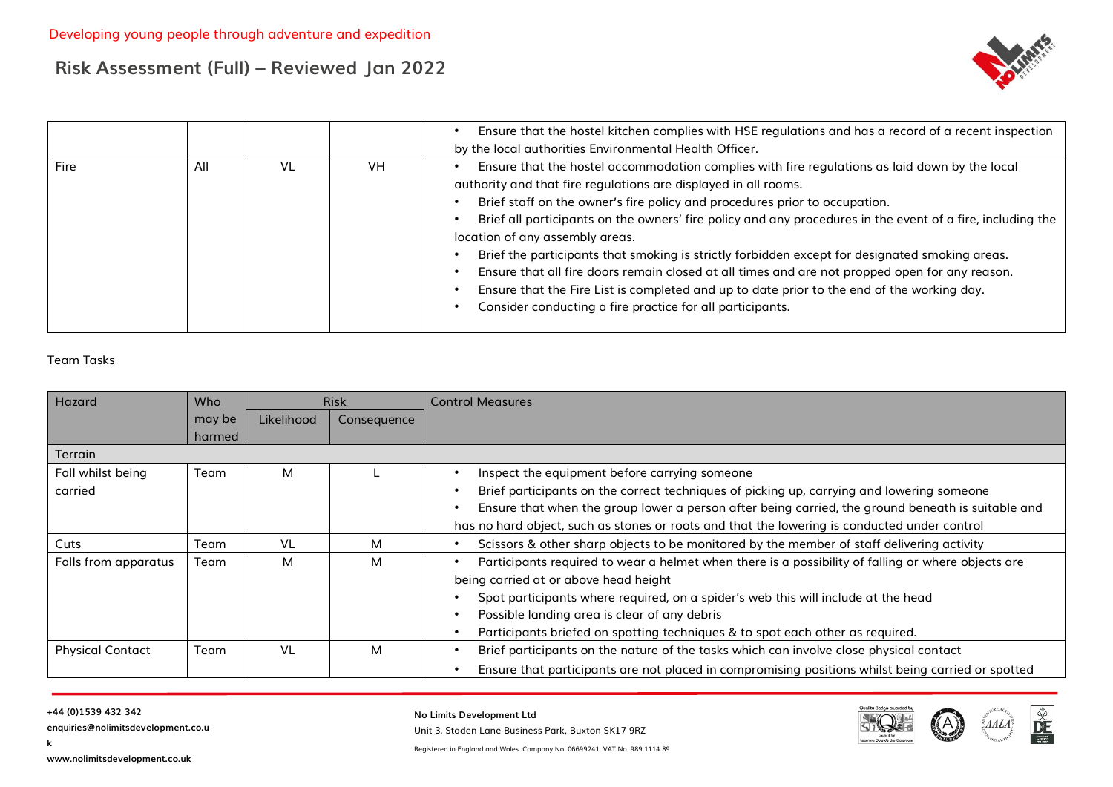

|      |     |    |     | Ensure that the hostel kitchen complies with HSE regulations and has a record of a recent inspection<br>by the local authorities Environmental Health Officer.                                                                                                                                                                                                                                                                                                                                                                                                                                                                                                                                                                                                 |
|------|-----|----|-----|----------------------------------------------------------------------------------------------------------------------------------------------------------------------------------------------------------------------------------------------------------------------------------------------------------------------------------------------------------------------------------------------------------------------------------------------------------------------------------------------------------------------------------------------------------------------------------------------------------------------------------------------------------------------------------------------------------------------------------------------------------------|
| Fire | All | VL | VH. | Ensure that the hostel accommodation complies with fire regulations as laid down by the local<br>authority and that fire regulations are displayed in all rooms.<br>Brief staff on the owner's fire policy and procedures prior to occupation.<br>Brief all participants on the owners' fire policy and any procedures in the event of a fire, including the<br>location of any assembly areas.<br>Brief the participants that smoking is strictly forbidden except for designated smoking areas.<br>Ensure that all fire doors remain closed at all times and are not propped open for any reason.<br>Ensure that the Fire List is completed and up to date prior to the end of the working day.<br>Consider conducting a fire practice for all participants. |

#### Team Tasks

| Hazard                  | <b>Who</b> |            | <b>Risk</b> | <b>Control Measures</b>                                                                            |
|-------------------------|------------|------------|-------------|----------------------------------------------------------------------------------------------------|
|                         | may be     | Likelihood | Consequence |                                                                                                    |
|                         | harmed     |            |             |                                                                                                    |
| Terrain                 |            |            |             |                                                                                                    |
| Fall whilst being       | Team       | м          |             | Inspect the equipment before carrying someone                                                      |
| carried                 |            |            |             | Brief participants on the correct techniques of picking up, carrying and lowering someone          |
|                         |            |            |             | Ensure that when the group lower a person after being carried, the ground beneath is suitable and  |
|                         |            |            |             | has no hard object, such as stones or roots and that the lowering is conducted under control       |
| Cuts                    | Team       | VL         | М           | Scissors & other sharp objects to be monitored by the member of staff delivering activity          |
| Falls from apparatus    | Team       | м          | м           | Participants required to wear a helmet when there is a possibility of falling or where objects are |
|                         |            |            |             | being carried at or above head height                                                              |
|                         |            |            |             | Spot participants where required, on a spider's web this will include at the head                  |
|                         |            |            |             | Possible landing area is clear of any debris                                                       |
|                         |            |            |             | Participants briefed on spotting techniques & to spot each other as required.                      |
| <b>Physical Contact</b> | Team       | VL         | м           | Brief participants on the nature of the tasks which can involve close physical contact             |
|                         |            |            |             | Ensure that participants are not placed in compromising positions whilst being carried or spotted  |

**k**

**enquiries@nolimitsdevelopment.co.u**

**No Limits Development Ltd**

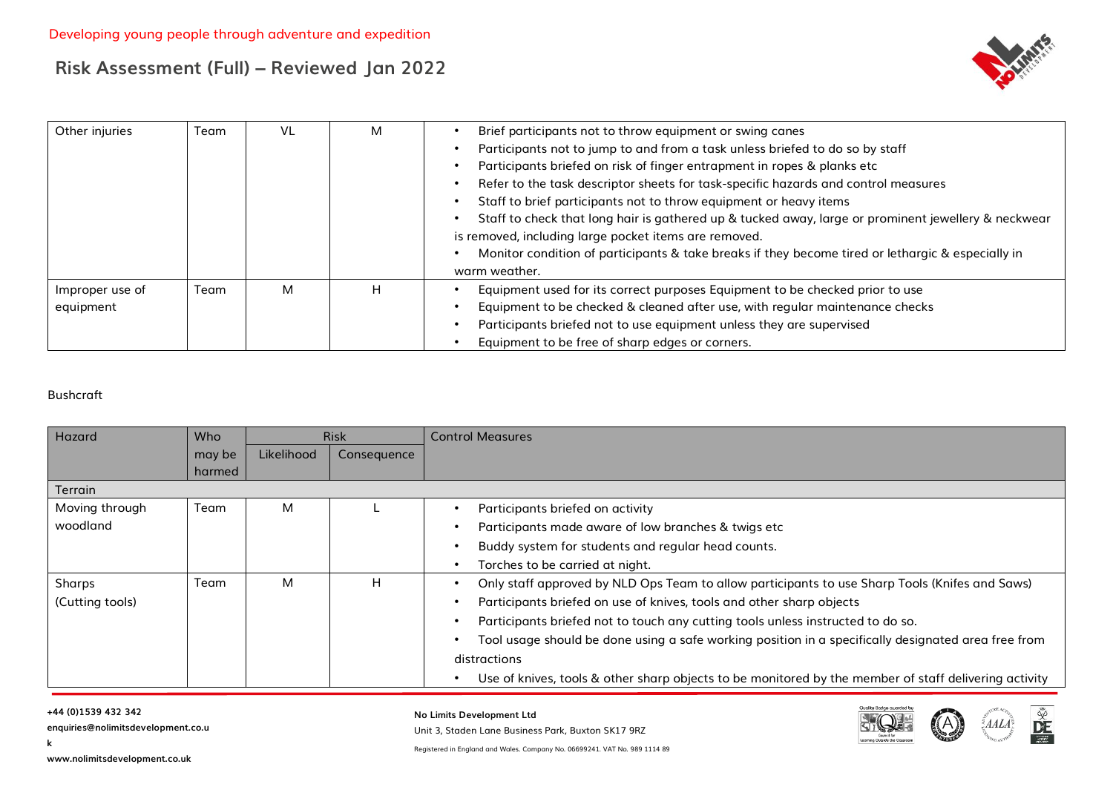

| Other injuries  | Team | VL | м | Brief participants not to throw equipment or swing canes                                            |
|-----------------|------|----|---|-----------------------------------------------------------------------------------------------------|
|                 |      |    |   | Participants not to jump to and from a task unless briefed to do so by staff                        |
|                 |      |    |   | Participants briefed on risk of finger entrapment in ropes & planks etc                             |
|                 |      |    |   | Refer to the task descriptor sheets for task-specific hazards and control measures                  |
|                 |      |    |   | Staff to brief participants not to throw equipment or heavy items                                   |
|                 |      |    |   | Staff to check that long hair is gathered up & tucked away, large or prominent jewellery & neckwear |
|                 |      |    |   | is removed, including large pocket items are removed.                                               |
|                 |      |    |   | Monitor condition of participants & take breaks if they become tired or lethargic & especially in   |
|                 |      |    |   | warm weather.                                                                                       |
| Improper use of | Team | м  | H | Equipment used for its correct purposes Equipment to be checked prior to use                        |
| equipment       |      |    |   | Equipment to be checked & cleaned after use, with regular maintenance checks                        |
|                 |      |    |   | Participants briefed not to use equipment unless they are supervised                                |
|                 |      |    |   | Equipment to be free of sharp edges or corners.                                                     |

#### Bushcraft

| Hazard          | <b>Who</b> |            | <b>Risk</b> | <b>Control Measures</b>                                                                               |
|-----------------|------------|------------|-------------|-------------------------------------------------------------------------------------------------------|
|                 | may be     | Likelihood | Consequence |                                                                                                       |
|                 | harmed     |            |             |                                                                                                       |
| Terrain         |            |            |             |                                                                                                       |
| Moving through  | Team       | м          |             | Participants briefed on activity                                                                      |
| woodland        |            |            |             | Participants made aware of low branches & twigs etc                                                   |
|                 |            |            |             | Buddy system for students and regular head counts.                                                    |
|                 |            |            |             | Torches to be carried at night.                                                                       |
| Sharps          | Team       | M          | н           | Only staff approved by NLD Ops Team to allow participants to use Sharp Tools (Knifes and Saws)        |
| (Cutting tools) |            |            |             | Participants briefed on use of knives, tools and other sharp objects                                  |
|                 |            |            |             | Participants briefed not to touch any cutting tools unless instructed to do so.                       |
|                 |            |            |             | Tool usage should be done using a safe working position in a specifically designated area free from   |
|                 |            |            |             | distractions                                                                                          |
|                 |            |            |             | Use of knives, tools & other sharp objects to be monitored by the member of staff delivering activity |

**k**



**No Limits Development Ltd**

Unit 3, Staden Lane Business Park, Buxton SK17 9RZ



 $\frac{\tilde{\mathbf{v}}}{\tilde{\mathbf{v}}^2}$ 

Registered in England and Wales. Company No. 06699241. VAT No. 989 1114 89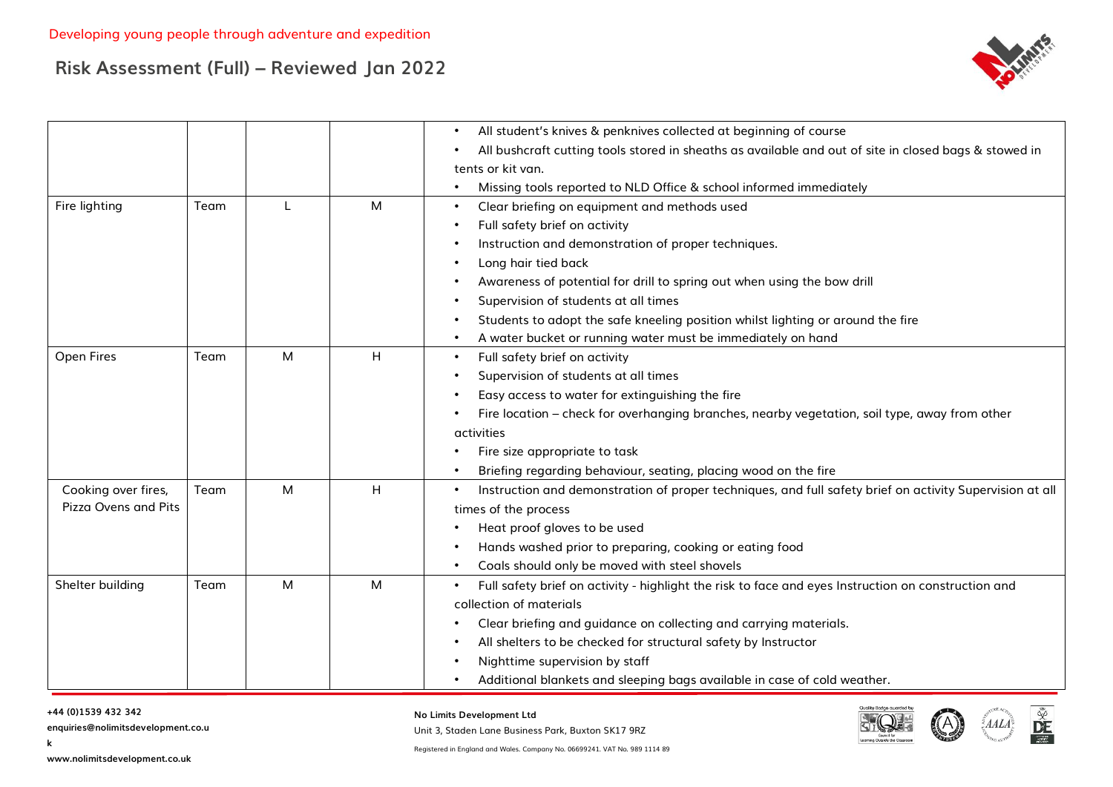

|                      |      |   |   | All student's knives & penknives collected at beginning of course                                        |
|----------------------|------|---|---|----------------------------------------------------------------------------------------------------------|
|                      |      |   |   | All bushcraft cutting tools stored in sheaths as available and out of site in closed bags & stowed in    |
|                      |      |   |   | tents or kit van.                                                                                        |
|                      |      |   |   | Missing tools reported to NLD Office & school informed immediately                                       |
| Fire lighting        | Team | L | M | Clear briefing on equipment and methods used                                                             |
|                      |      |   |   | Full safety brief on activity                                                                            |
|                      |      |   |   | Instruction and demonstration of proper techniques.                                                      |
|                      |      |   |   | Long hair tied back                                                                                      |
|                      |      |   |   | Awareness of potential for drill to spring out when using the bow drill                                  |
|                      |      |   |   | Supervision of students at all times                                                                     |
|                      |      |   |   | Students to adopt the safe kneeling position whilst lighting or around the fire                          |
|                      |      |   |   | A water bucket or running water must be immediately on hand                                              |
| Open Fires           | Team | M | H | Full safety brief on activity                                                                            |
|                      |      |   |   | Supervision of students at all times                                                                     |
|                      |      |   |   | Easy access to water for extinguishing the fire                                                          |
|                      |      |   |   | Fire location - check for overhanging branches, nearby vegetation, soil type, away from other            |
|                      |      |   |   | activities                                                                                               |
|                      |      |   |   | Fire size appropriate to task                                                                            |
|                      |      |   |   | Briefing regarding behaviour, seating, placing wood on the fire                                          |
| Cooking over fires,  | Team | M | H | Instruction and demonstration of proper techniques, and full safety brief on activity Supervision at all |
| Pizza Ovens and Pits |      |   |   | times of the process                                                                                     |
|                      |      |   |   | Heat proof gloves to be used                                                                             |
|                      |      |   |   | Hands washed prior to preparing, cooking or eating food                                                  |
|                      |      |   |   | Coals should only be moved with steel shovels                                                            |
| Shelter building     | Team | M | M | Full safety brief on activity - highlight the risk to face and eyes Instruction on construction and      |
|                      |      |   |   | collection of materials                                                                                  |
|                      |      |   |   | Clear briefing and guidance on collecting and carrying materials.                                        |
|                      |      |   |   | All shelters to be checked for structural safety by Instructor                                           |
|                      |      |   |   | Nighttime supervision by staff                                                                           |
|                      |      |   |   | Additional blankets and sleeping bags available in case of cold weather.                                 |

**k**

**enquiries@nolimitsdevelopment.co.u**

**No Limits Development Ltd**



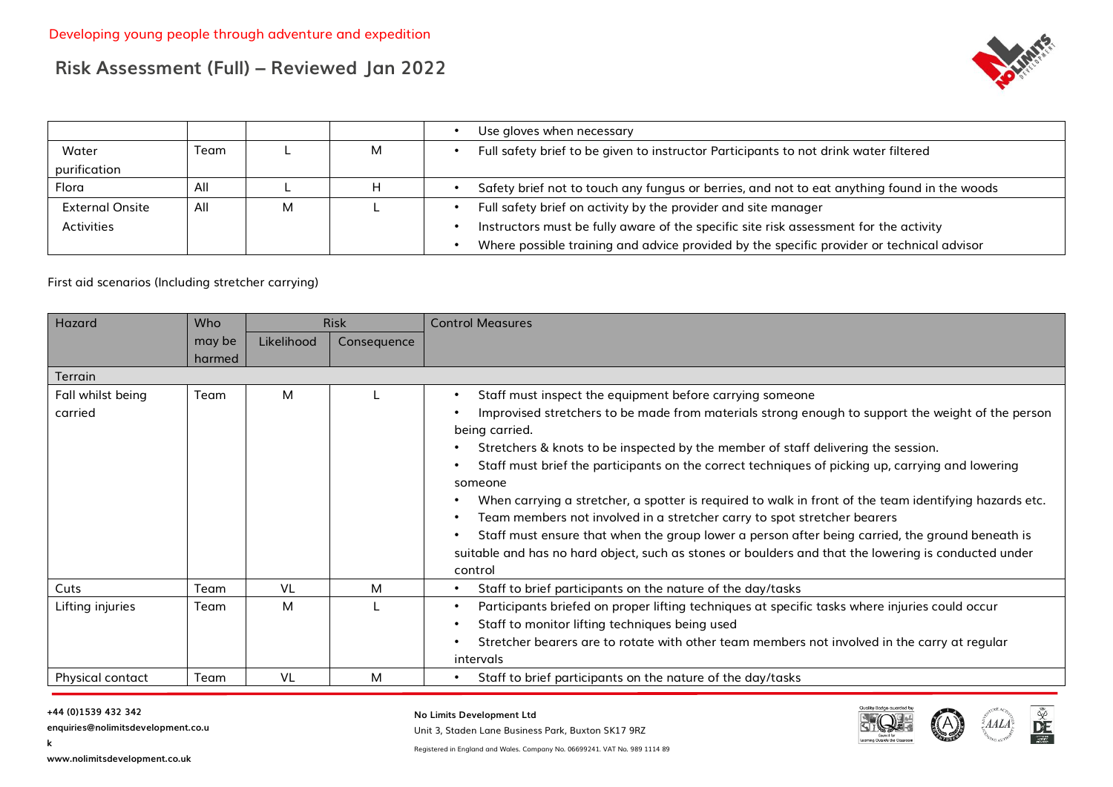

|                        |      |   |   | Use gloves when necessary                                                                   |
|------------------------|------|---|---|---------------------------------------------------------------------------------------------|
| Water                  | Team |   | м | Full safety brief to be given to instructor Participants to not drink water filtered        |
| purification           |      |   |   |                                                                                             |
| Flora                  | All  |   |   | Safety brief not to touch any fungus or berries, and not to eat anything found in the woods |
| <b>External Onsite</b> | All  | м |   | Full safety brief on activity by the provider and site manager                              |
| <b>Activities</b>      |      |   |   | Instructors must be fully aware of the specific site risk assessment for the activity       |
|                        |      |   |   | Where possible training and advice provided by the specific provider or technical advisor   |

First aid scenarios (Including stretcher carrying)

| Hazard            | Who    | <b>Risk</b> |             | <b>Control Measures</b>                                                                                     |
|-------------------|--------|-------------|-------------|-------------------------------------------------------------------------------------------------------------|
|                   | may be | Likelihood  | Consequence |                                                                                                             |
|                   | harmed |             |             |                                                                                                             |
| <b>Terrain</b>    |        |             |             |                                                                                                             |
| Fall whilst being | Team   | м           |             | Staff must inspect the equipment before carrying someone                                                    |
| carried           |        |             |             | Improvised stretchers to be made from materials strong enough to support the weight of the person           |
|                   |        |             |             | being carried.                                                                                              |
|                   |        |             |             | Stretchers & knots to be inspected by the member of staff delivering the session.                           |
|                   |        |             |             | Staff must brief the participants on the correct techniques of picking up, carrying and lowering            |
|                   |        |             |             | someone                                                                                                     |
|                   |        |             |             | When carrying a stretcher, a spotter is required to walk in front of the team identifying hazards etc.      |
|                   |        |             |             | Team members not involved in a stretcher carry to spot stretcher bearers                                    |
|                   |        |             |             | Staff must ensure that when the group lower a person after being carried, the ground beneath is             |
|                   |        |             |             | suitable and has no hard object, such as stones or boulders and that the lowering is conducted under        |
|                   |        |             |             | control                                                                                                     |
| Cuts              | Team   | VL          | M           | Staff to brief participants on the nature of the day/tasks                                                  |
| Lifting injuries  | Team   | M           |             | Participants briefed on proper lifting techniques at specific tasks where injuries could occur<br>$\bullet$ |
|                   |        |             |             | Staff to monitor lifting techniques being used                                                              |
|                   |        |             |             | Stretcher bearers are to rotate with other team members not involved in the carry at regular                |
|                   |        |             |             | intervals                                                                                                   |
| Physical contact  | Team   | VL          | м           | Staff to brief participants on the nature of the day/tasks                                                  |

**k**

**enquiries@nolimitsdevelopment.co.u**

**No Limits Development Ltd**

Unit 3, Staden Lane Business Park, Buxton SK17 9RZ



 $\frac{\tilde{\mathbf{w}}}{\tilde{\mathbf{w}}}$